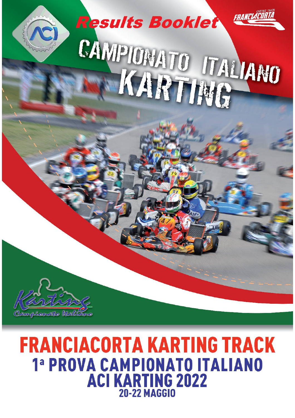

# **FRANCIACORTA KARTING TRACK** 1ª PROVA CAMPIONATO ITALIANO **ACI KARTING 2022** 20-22 MAGGIO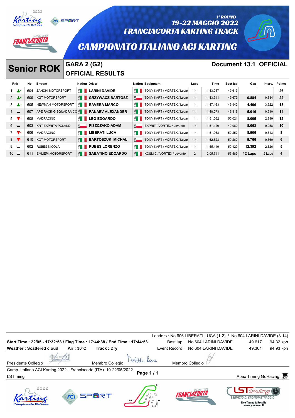|               |                    | FRANCIACOR. |                           | <b>SPORT</b> |                           |                                               |                         | <b>FRANCIACORTA KARTING TRACK</b><br><b>CAMPIONATO ITALIANO ACI KARTING</b> |      | <b>19-22 MAGGIO 2022</b> | 1° ROUND<br><b>Document 13.1 OFFICIAL</b> |        |         |               |
|---------------|--------------------|-------------|---------------------------|--------------|---------------------------|-----------------------------------------------|-------------------------|-----------------------------------------------------------------------------|------|--------------------------|-------------------------------------------|--------|---------|---------------|
|               |                    |             | <b>Senior ROK</b>         |              |                           | <b>GARA 2 (G2)</b><br><b>OFFICIAL RESULTS</b> |                         |                                                                             |      |                          |                                           |        |         |               |
| Rnk           |                    | No.         | Entrant                   |              | <b>Nation Driver</b>      |                                               |                         | <b>Nation Equipment</b>                                                     | Laps | Time                     | <b>Best lap</b>                           | Gap    | Interv. | <b>Points</b> |
|               | A 6                | 604         | <b>ZANCHI MOTORSPORT</b>  |              | $\mathbb{E}$ $\mathbb{I}$ | <b>LARINI DAVIDE</b>                          | £.                      | TONY KART / VORTEX / Levan                                                  | 14   | 11:43.057                | 49.617                                    |        |         | 26            |
| $2 \triangle$ |                    | 609         | <b>KGT MOTORSPORT</b>     |              | H.                        | <b>GRZYWACZ BARTOSZ</b>                       | $\overline{\mathbf{S}}$ | TONY KART / VORTEX / Levar                                                  | 14   | 11:43.941                | 49.679                                    | 0.884  | 0.884   | 22            |
| 3             | $\blacktriangle$ 2 | 605         | NEWMAN MOTORSPORT         |              | £H                        | <b>RAVERA MARCO</b>                           | Ê I                     | TONY KART / VORTEX / Levan                                                  | 14   | 11:47.463                | 49.942                                    | 4.406  | 3.522   | 18            |
|               | $\equiv$           | 607         | APE RACING SQUADRA CO     |              | H                         | <b>PANAEV ALEXANDER</b>                       | E I                     | TONY KART / VORTEX / Levar                                                  | 14   | 11:48.073                | 49.819                                    | 5.016  | 0.610   | 14            |
| 5             |                    | 608         | <b>MADRACINC</b>          |              | Ĥ.                        | <b>LEO EDOARDO</b>                            | E.                      | TONY KART / VORTEX / Levan                                                  | 14   | 11:51.062                | 50.021                                    | 8.005  | 2.989   | 12            |
| $6 =$         |                    | 603         | <b>KRT EXPRITA POLAND</b> |              | $\overline{8}$            | <b>PISZCZAKO ADAM</b>                         | $\frac{1}{2}$           | EXPRIT / VORTEX / Levanto                                                   | 14   | 11:51.120                | 49.980                                    | 8.063  | 0.058   | 10            |
|               | $\mathbf{V}$ 4     | 606         | <b>MADRACING</b>          |              | £.                        | <b>LIBERATI LUCA</b>                          | E.                      | TONY KART / VORTEX / Levan                                                  | 14   | 11:51.963                | 50.252                                    | 8.906  | 0.843   | 8             |
| $8 \sqrt{7}$  |                    | 610         | <b>KGT MOTORSPORT</b>     |              | E.                        | <b>BARTOSZUK MICHAL</b>                       | $\frac{1}{2}$           | TONY KART / VORTEX / Levar                                                  | 14   | 11:52.823                | 50.260                                    | 9.766  | 0.860   | 6             |
| 9             | $\equiv$           | 602         | <b>RUBES NICOLA</b>       |              | £H                        | <b>RUBES LORENZO</b>                          | £.                      | TONY KART / VORTEX / Levan                                                  | 14   | 11:55.449                | 50.129                                    | 12.392 | 2.626   | 5             |

10  $\equiv$  611 EMMEPI MOTORSPORT **SABATINO EDOARDO K**osmic / VORTEX / Levanto 2 2:05.741 53.583 **12 Laps** 12 Laps 4

|                                                                                |                   |                 |          | Leaders : No.606 LIBERATI LUCA (1-2) / No.604 LARINI DAVIDE (3-14) |                                                                                            |           |
|--------------------------------------------------------------------------------|-------------------|-----------------|----------|--------------------------------------------------------------------|--------------------------------------------------------------------------------------------|-----------|
| Start Time: 22/05 - 17:32:58 / Flag Time: 17:44:38 / End Time: 17:44:53        |                   |                 |          | Best lap: No.604 LARINI DAVIDE                                     | 49.617                                                                                     | 94.32 kph |
| <b>Weather: Scattered cloud</b>                                                | $Air:30^{\circ}C$ | Track: Dry      |          | Event Record: No.604 LARINI DAVIDE                                 | 49.301                                                                                     | 94.93 kph |
| Presidente Collegio                                                            |                   | Membro Collegio |          | Membro Collegio                                                    |                                                                                            |           |
| Camp. Italiano ACI Karting 2022 - Franciacorta (ITA) 19-22/05/2022<br>LSTiming |                   |                 | Page 1/1 |                                                                    | Apex Timing GoRacing <b>i</b>                                                              |           |
| 2022                                                                           |                   | <b>SPMRT</b>    |          | <b>FRANCIACORTA</b>                                                | Roman<br>SERVIZIO DI CRONOMETRAGGIO<br><b>Live Timing &amp; Results</b><br>www.youcrono.it |           |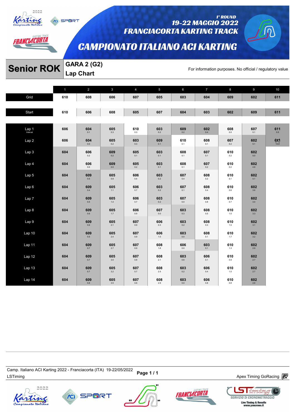

*AANCLACORTA* 

SPORT

#### 1° ROUND 19-22 MAGGIO 2022 **FRANCIACORTA KARTING TRACK**

# **CAMPIONATO ITALIANO ACI KARTING**

# **Senior ROK** GARA 2 (G2)<br>For information purposes. No official / regulatory value

**Lap Chart** 

|                   | $\mathbf{1}$ | $\overline{2}$ | $\mathbf{3}$   | $\overline{4}$ | 5              | 6              | $\overline{7}$ | 8               | 9              | 10                    |
|-------------------|--------------|----------------|----------------|----------------|----------------|----------------|----------------|-----------------|----------------|-----------------------|
| Grid              | 610          | 608            | 606            | 607            | 605            | 603            | 604            | 609             | 602            | 611                   |
|                   |              |                |                |                |                |                |                |                 |                |                       |
| Start             | 610          | 606            | 608            | 605            | 607            | 604            | 603            | 602             | 609            | 611                   |
|                   |              |                |                |                |                |                |                |                 |                |                       |
| Lap 1<br>Interval | 606          | 604<br>0.1     | 605<br>0.3     | 610<br>0.3     | 603<br>$0.2\,$ | 609<br>0.2     | 602<br>0.4     | 608<br>$_{0.0}$ | 607<br>0.1     | 611<br>0.5            |
| Lap2              | 606          | 604<br>$0.0\,$ | 605<br>0.2     | 603<br>$0.3\,$ | 609<br>$0.1\,$ | 610<br>0.1     | 608<br>0.1     | 607<br>$0.2\,$  | 602<br>5.1     | $6x1$ <sub>14.8</sub> |
| Lap 3             | 604          | 606<br>$0.2\,$ | 609<br>$0.2\,$ | 605<br>0.1     | 603<br>0.1     | 608<br>0.1     | 607<br>0.1     | 610<br>$0.2\,$  | 602<br>$5.0\,$ |                       |
| Lap 4             | 604          | 606<br>$0.6\,$ | 609<br>$0.0\,$ | 605<br>0.2     | 603<br>0.1     | 608<br>0.1     | 607<br>$0.2\,$ | 610<br>$0.2\,$  | 602<br>4.9     |                       |
| Lap 5             | 604          | 609<br>$0.5\,$ | 605<br>$0.9\,$ | 606<br>$0.4\,$ | 603<br>$0.2\,$ | 607<br>$0.4\,$ | 608<br>$0.2\,$ | 610<br>0.1      | 602<br>4.1     |                       |
| Lap6              | 604          | 609<br>$0.4\,$ | 605<br>$1.1$   | 606<br>$0.7\,$ | 603<br>$0.2\,$ | 607<br>0.1     | 608<br>0.4     | 610<br>$0.6\,$  | 602<br>3.6     |                       |
| Lap 7             | 604          | 609<br>$0.5\,$ | 605<br>$1.4\,$ | 606<br>0.7     | 603<br>$0.2\,$ | 607<br>$0.0\,$ | 608<br>0.8     | 610<br>0.7      | 602<br>3.4     |                       |
| Lap 8             | 604          | 609<br>0.6     | 605<br>1.7     | 606<br>0.9     | 607<br>0.0     | 603<br>0.3     | 608<br>$0.5\,$ | 610<br>$1.0\,$  | 602<br>3.3     |                       |
| Lap 9             | 604          | 609<br>0.6     | 605<br>2.1     | 607<br>0.9     | 606<br>$0.3\,$ | 603<br>0.2     | 608<br>$0.3\,$ | 610<br>$1.5\,$  | 602<br>3.1     |                       |
| Lap10             | 604          | 609<br>0.5     | 605<br>$2.4\,$ | 607<br>0.9     | 606<br>$1.0$   | 603<br>0.0     | 608<br>0.1     | 610<br>1.7      | 602<br>3.2     |                       |
| Lap 11            | 604          | 609<br>$0.7\,$ | 605<br>$2.7\,$ | 607<br>0.9     | 608<br>$1.8\,$ | 606<br>$0.0\,$ | 603<br>0.1     | 610<br>1.3      | 602<br>2.9     |                       |
| Lap 12            | 604          | 609<br>$0.7\,$ | 605<br>$3.0\,$ | 607<br>$0.8\,$ | 608<br>2.1     | 603<br>$0.6\,$ | 606<br>0.1     | 610<br>0.9      | 602<br>2.7     |                       |
| Lap <sub>13</sub> | 604          | 609<br>$0.7\,$ | 605<br>$3.2\,$ | 607<br>0.7     | 608<br>2.5     | 603<br>0.2     | 606<br>0.4     | 610<br>$1.0\,$  | 602<br>$2.7\,$ |                       |
| Lap 14            | 604          | 609<br>$0.8\,$ | 605<br>$3.5\,$ | 607<br>$0.6\,$ | 608<br>2.9     | 603<br>$0.0\,$ | 606<br>0.8     | 610<br>$0.8\,$  | 602<br>$2.6\,$ |                       |

Camp. italiano ACi Narung 2022 - Franciacoria (דורא) וש-22 Page 1 / 1<br>LSTiming Apex Timing GoRacing *a*nd the term of the Marian Baracing and the Marian Apex Timing GoRacing and the t Camp. Italiano ACI Karting 2022 - Franciacorta (ITA) 19-22/05/2022



ümün **SERVIZIO DI CRONOMETRAGGIO** 



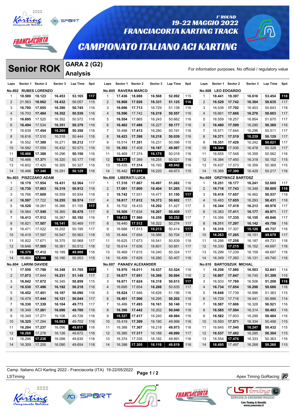

# *AANCLACORTA*

# 19-22 MAGGIO 2022 **FRANCIACORTA KARTING TRACK**

### **CAMPIONATO ITALIANO ACI KARTING**

# **Senior ROK** Sector 3 (G2)

1° ROUND

|                    | <b>Senior ROK</b> |                                |                  | <b>GARA 2 (G2)</b> |            |                   |                  |                                   |                  |                  |            |                    |                   |                                   |                                                          |                  |            |
|--------------------|-------------------|--------------------------------|------------------|--------------------|------------|-------------------|------------------|-----------------------------------|------------------|------------------|------------|--------------------|-------------------|-----------------------------------|----------------------------------------------------------|------------------|------------|
|                    |                   |                                |                  | <b>Analysis</b>    |            |                   |                  |                                   |                  |                  |            |                    |                   |                                   | For information purposes. No official / regulatory value |                  |            |
| Laps               | Sector 1 Sector 2 |                                | Sector 3         | Lap Time           | Spd        | Laps              |                  | Sector 1 Sector 2                 | Sector 3         | Lap Time         | Spd        | Laps               | Sector 1 Sector 2 |                                   | Sector 3                                                 | Lap Time         | Spd        |
| <b>No.602</b>      |                   | <b>RUBES LORENZO</b>           |                  |                    |            | <b>No.605</b>     |                  | <b>RAVERA MARCO</b>               |                  |                  |            | <b>No.608</b>      |                   | <b>LEO EDOARDO</b>                |                                                          |                  |            |
| -1                 | 18.589            | 18.123                         | 16.453           | 53.165             | 117        | -1                | 17.436           | 18.088                            | 16.568           | 52.092           | 115        | 1                  | 18.441            | 18.397                            | 16.616                                                   | 53.454           | 118        |
| 2                  | 21.563            | 18.062                         | 16.432           | 56.057             | 115        | $\overline{2}$    | 16.868           | 17.926                            | 16.331           | 51.125           | 116        | $\overline{2}$     | 16.529            | 17.742                            | 16.364                                                   | 50.635           | 117        |
| 3                  | 16.700            | 17.655                         | 16.390           | 50.745             | 116        | 3                 | 16.696           | 17.713                            | 16.729           | 51.138           | 116        | 3                  | 16.538            | 17.702                            | 16.403                                                   | 50.643           | 118        |
| $\overline{4}$     | 16.703            | 17.484                         | 16.352           | 50.539             | 116        | 4                 | 16.596           | 17.742                            | 16.219           | 50.557           | 116        | $\overline{4}$     | 16.661            | 17.666                            | 16.276                                                   | 50.603           | 117        |
| 5                  | 16.695            | 17.525                         | 16.352           | 50.572             | 116        | 5                 | 16.554           | 17.865                            | 16.243           | 50.662           | 116        | 5                  | 16.559            | 18.257                            | 16.854                                                   | 51.670           | 117        |
| 6                  | 16.494            | 17.534                         | 16.351           | 50.379             | 116        | 6                 | 16.462           | 17.488                            | 16.227           | 50.177           | 116        | 6                  | 16.480            | 17.599                            | 16.290                                                   | 50.369           | 116        |
| $\overline{7}$     | 16.639            | 17.454                         | 16.265           | 50.358             | 116        | $\overline{7}$    | 16.498           | 17.413                            | 16.280           | 50.191           | 116        | 7                  | 16.571            | 17.644                            | 16.296                                                   | 50.511           | 117        |
| 8                  | 16.616            | 17.510                         | 16.318           | 50.444             | 116        | 8                 | 16.423           | 17.398                            | 16.218           | 50.039           | 116        | 8                  | 16.371            | 17.519                            | 16.239                                                   | 50.129           | 117        |
| 9                  | 16.552            | 17.389                         | 16.271           | 50.212             | 117        | 9                 | 16.514           | 17.351                            | 16.231           | 50.096           | 115        | 9                  | 16.351            | 17.428                            | 16.242                                                   | 50.021           | 117        |
| 10                 | 16.582            | 17.559                         | 16.432           | 50.573             | 116        | 10                | 16.392           | 17.408                            | 16.187           | 49.987           | 116        | 10                 | 16.344            | 17.506                            | 16.478                                                   | 50.328           | 117        |
| 11                 | 16.466            | 17.388                         | 16.296           | 50.150             | 116        | 11                | 16.469           | 17.374                            | 16.175           | 50.018           | 116        | 11                 | 16.655            | 17.548                            | 16.359                                                   | 50.562           | 116        |
| 12                 | 16.486            | 17.371                         | 16.320           | 50.177             | 116        | 12                | 16.377           | 17.389                            | 16.255           | 50.021           | 116        | 12                 | 16.384            | 17.450                            | 16.318                                                   | 50.152           | 115        |
| 13                 | 16.602            | 17.420                         | 16.305           | 50.327             | 116        | 13                | 16.435           | 17.314                            | 16.193           | 49.942           | 116        | 13                 | 16.437            | 17.573                            | 16.359                                                   | 50.369           | 115        |
| 14                 | 16.498            | 17.340                         | 16.291           | 50.129             | 116        | 14                | 16.442           | 17.311                            | 16.220           | 49.973           | 115        | 14                 | 16.389            | 17.399                            | 16.429                                                   | 50.217           | 116        |
| <b>No.603</b>      |                   | <b>PISZCZAKO ADAM</b>          |                  |                    |            | <b>No.606</b>     |                  | <b>LIBERATI LUCA</b>              |                  |                  |            | <b>No.609</b>      |                   | <b>GRZYWACZ BARTOSZ</b>           |                                                          |                  |            |
| -1                 | 18.179            | 17.954                         | 16.431           | 52.564             | 117        | $\mathbf{1}$      | 17.318           | 17.867                            | 16.497           | 51.682           | 116        | 1                  | 18.251            | 18.177                            | 16.241                                                   | 52.669           | 117        |
| 2                  | 16.730            | 17.863                         | 16.319           | 50.912             | 116        | 2                 | 17.061           | 17.800                            | 16.404           | 51.265           | 116        | $\overline{2}$     | 16.718            | 17.743                            | 16.348                                                   | 50.809           | 118        |
| 3                  | 16.766            | 17.609                         | 16.559           | 50.934             | 116        | 3                 | 16.742           | 17.931                            | 16.477           | 51.150           | 117        | 3                  | 16.418            | 17.657                            | 16.462                                                   | 50.537           | 118        |
| $\overline{4}$     | 16.597            | 17.722                         | 16.255           | 50.574             | 117        | 4                 | 16.617           | 17.612                            | 16.373           | 50.602           | 117        | 4                  | 16.483            | 17.655                            | 16.293                                                   | 50.431           | 118        |
| 5                  | 16.528            | 18.261                         | 16.366           | 51.155             | 117        | 5                 | 16.702           | 18.433                            | 16.292           | 51.427           | 117        | 5                  | 16.344            | 17.419                            | 16.213                                                   | 49.976           | 117        |
| 6                  | 16.564            | 17.549                         | 16.365           | 50.478             | 117        | 6                 | 16.508           | 17.634                            | 16.267           | 50.409           | 117        | 6                  | 16.383            | 17.411                            | 16.177                                                   | 49.971           | 117        |
| $\overline{7}$     | 16.413            | 17.512                         | 16.267           | 50.192             | 116        | $\overline{7}$    | 16.433           | 17.560                            | 16.259           | 50.252           | 117        | $\overline{7}$     | 16.356            | 17.335                            | 16.155                                                   | 49.846           | 117        |
| 8                  | 16.821            | 17.507                         | 16.141           | 50.469             | 117        | 8                 | 16.440           | 17.512                            | 16.322           | 50.274           | 117        | 8                  | 16.311            | 17.297                            | 16.142                                                   | 49.750           | 116        |
| 9                  | 16.471            | 17.522                         | 16.202           | 50.195             | 117        | 9                 | 16.688           | 17.513                            | 16.213           | 50.414           | 117        | 9                  | 16.310            | 17.307                            | 16.120                                                   | 49.737           | 116        |
| 10                 | 16.419            | 17.597                         | 16.547           | 50.563             | 118        | 10                | 16.464           | 17.654                            | 16.586           | 50.704           | 117        | 10                 | 16.263            | 17.265                            | 16.151                                                   | 49.679           | 117        |
| 11                 | 16.922            | 17.671                         | 16.375           | 50.968             | 117        | 11                | 16.625           | 17.673                            | 16.541           | 50.839           | 118        | 11                 | 16.286            | 17.258                            | 16.187                                                   | 49.731           | 116        |
| 12                 | 16.646            | 17.505                         | 16.361           | 50.512             | 116        | 12                | 16.614           | 17.636                            | 16.601           | 50.851           | 117        | 12                 | 16.330            | 17.215                            | 16.152                                                   | 49.697           | 116        |
| 13                 | 16.379            | 17.412                         | 16.189           | 49.980             | 116        | 13                | 16.469           | 17.615                            | 16.240           | 50.324           | 117        | 13                 | 16.299            | 17.239                            | 16.159                                                   | 49.697           | 116        |
| 14                 | 16.464            | 17.399                         | 16.190           | 50.053             | 115        | 14                | 16.499           | 17.628                            | 16.280           | 50.407           | 116        | 14                 | 16.349            | 17.260                            | 16.131                                                   | 49.740           | 116        |
|                    |                   |                                |                  |                    |            |                   |                  |                                   |                  |                  |            |                    |                   |                                   |                                                          |                  |            |
| <b>No.604</b><br>1 | 17.559            | <b>LARINI DAVIDE</b><br>17.798 | 16.348           | 51.705             | 117        | <b>No.607</b>     | 18.976           | <b>PANAEV ALEXANDER</b><br>18.011 | 16.537           | 53.524           | 116        | <b>No.610</b><br>1 | 18.258            | <b>BARTOSZUK MICHAL</b><br>17.880 | 16.503                                                   | 52.641           | 114        |
| 2                  | 17.073            | 17.844                         | 16.231           | 51.148             | 117        | $\mathbf{1}$<br>2 | 16.677           | 17.651                            | 16.366           | 50.694           | 116        | 2                  | 16.807            | 17.847                            | 16.745                                                   | 51.399           | 115        |
| 3                  | 16.842            | 17.672                         | 16.345           | 50.859             | 115        | 3                 | 16.671           | 17.624                            | 16.318           |                  | 117        | 3                  | 16.933            | 17.769                            | 16.506                                                   |                  | 116        |
|                    |                   |                                |                  |                    |            |                   |                  |                                   |                  | 50.613           |            |                    |                   |                                   |                                                          | 51.208           |            |
| 4<br>5             | 16.530<br>16.452  | 17.496<br>17.451               | 16.192<br>16.187 | 50.218<br>50.090   | 116<br>116 | 4                 | 16.695<br>16.624 | 17.654<br>17.946                  | 16.286<br>16.626 | 50.635<br>51.196 | 117<br>116 | 4                  | 16.734<br>16.648  | 17.654<br>17.739                  | 16.298<br>16.996                                         | 50.686<br>51.383 | 116<br>115 |
|                    |                   |                                |                  |                    |            | 5                 |                  |                                   |                  |                  |            | 5                  |                   |                                   |                                                          |                  |            |
| 6                  | 16.479            | 17.444                         | 16.121           | 50.044             | 117        | 6                 | 16.401           | 17.506                            | 16.295           | 50.202           | 118        | 6                  | 16.729            | 17.716                            | 16.441                                                   | 50.886           | 114        |
| 7                  | 16.330            | 17.339                         | 16.104           | 49.773             | 117        | 7                 |                  | 16.486 17.493                     | 16.161           | 50.140           | 118        | 7                  | 16.587            | 17.606                            | 16.328                                                   | 50.521           | 116        |
| 8                  | 16.349            | 17.261                         | 16.090           | 49.700             | 116        | 8                 |                  | 16.396 17.442                     | 16.202           | 50.040           | 118        | 8                  | 16.585            | 17.594                            | 16.314                                                   | 50.493           | 116        |
| 9                  | 16.349            | 17.271                         | 16.106           | 49.726             | 116        | 9                 |                  | 16.327 17.417                     | 16.240           | 49.984           | 116        | 9                  | 16.582            | 17.603                            | 16.299                                                   | 50.484           | 116        |
| 10                 | 16.325            | 17.294                         | 16.083           | 49.702             | 116        | 10                | 16.419           | 17.399                            | 16.180           | 49.998           | 116        | 10                 | 16.593            | 17.571                            | 16.334                                                   | 50.498           | 115        |
| 11                 | 16.284            | 17.237                         | 16.096           | 49.617             | 116        | 11                | 16.388           | 17.367                            | 16.218           | 49.973           | 116        | 11                 | 16.645            | 17.540                            | 16.247                                                   | 50.432           | 115        |
| 12                 | 16.268 17.278     |                                | 16.126           | 49.672             | 116        | 12                | 16.385           | 17.317                            | 16.188           | 49.890           | 117        | $12 \overline{ }$  | 16.537            | 17.482                            | 16.285                                                   | 50.304           | 115        |
| 13                 | 16.296            | 17.236                         | 16.098           | 49.630             | 116        | 13                | 16.374           | 17.335                            | 16.182           | 49.891           | 116        | 13                 | 16.554            | 17.476                            | 16.333                                                   | 50.363           | 116        |
| 14                 | 16.309            | 17.255                         | 16.090           | 49.654             | 116        | 14                | 16.398           | 17.305                            | 16.116           | 49.819           | 116        | 14                 | 16.495            | 17.497                            | 16.268                                                   | 50.260           | 115        |

Camp. italiano ACi Narung 2022 - Franciacoria (דורא) וש-22/05/2022 Page 1 / 2<br>LSTiming Apex Timing GoRacing *a*nd a later the series of the series of the series of the series of the series o Camp. Italiano ACI Karting 2022 - Franciacorta (ITA) 19-22/05/2022







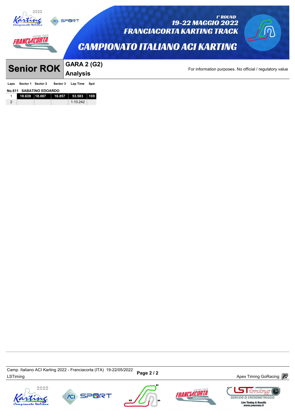|                   |                         | <b>SPORT</b>                          | 1° ROUND<br><b>19-22 MAGGIO 2022</b><br><b>FRANCIACORTA KARTING TRACK</b><br><b>CAMPIONATO ITALIANO ACI KARTING</b> |
|-------------------|-------------------------|---------------------------------------|---------------------------------------------------------------------------------------------------------------------|
| <b>Senior ROK</b> |                         | <b>GARA 2 (G2)</b><br><b>Analysis</b> | For information purposes. No official / regulatory value                                                            |
| Sector 1<br>Laps  | Sector 2<br>Sector 3    | Lap Time<br>Spd                       |                                                                                                                     |
| No.611            | <b>SABATINO EDOARDO</b> |                                       |                                                                                                                     |
| 18.639            | 16.857<br>18.087        | 53.583<br>109                         |                                                                                                                     |
| 2                 |                         | 1:10.242                              |                                                                                                                     |

Camp. Italiano ACI Karting 2022 - Franciacorta (ITA) 19-22/05/2022<br>LSTiming Apex Timing GoRacing *e* Camp. Italiano ACI Karting 2022 - Franciacorta (ITA) 19-22/05/2022







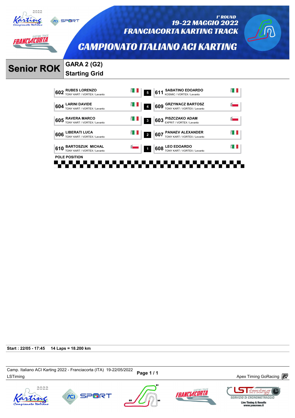

*ANCLACORTA* 

19-22 MAGGIO 2022 **FRANCIACORTA KARTING TRACK** 



1° ROUND

**CAMPIONATO ITALIANO ACI KARTING** 

# **Senior ROK GARA 2 (G2)**

# **Starting Grid**

**CO** SPORT



**Start : 22/05 - 17:45 14 Laps = 18.200 km**

Camp. nanano ACI Naning 2022 - Franciacona (11A) العديد Page 1 / 1 Magnetic Memorial Apex Timing GoRacing  $\overline{\mathbb{CP}}$ Camp. Italiano ACI Karting 2022 - Franciacorta (ITA) 19-22/05/2022









 $\Box$  iming

**SERVIZIO DI CRONOMETRAGGIO**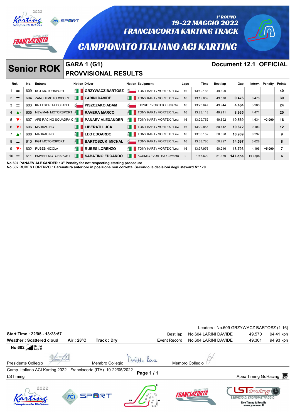| 1° ROUND<br><b>SPORT</b><br><b>19-22 MAGGIO 2022</b><br><b>FRANCIACORTA KARTING TRACK</b><br>FRANCIACL<br><b>CAMPIONATO ITALIANO ACI KARTING</b><br><b>Document 12.1 OFFICIAL</b><br><b>GARA 1 (G1)</b><br><b>Senior ROK</b> |     |                           |                    |                             |                    |                                         |      |           |                 |         |         |          |                |
|------------------------------------------------------------------------------------------------------------------------------------------------------------------------------------------------------------------------------|-----|---------------------------|--------------------|-----------------------------|--------------------|-----------------------------------------|------|-----------|-----------------|---------|---------|----------|----------------|
|                                                                                                                                                                                                                              |     |                           |                    | <b>PROVVISIONAL RESULTS</b> |                    |                                         |      |           |                 |         |         |          |                |
| Rnk                                                                                                                                                                                                                          | No. | Entrant                   |                    | <b>Nation Driver</b>        |                    | <b>Nation Equipment</b>                 | Laps | Time      | <b>Best lap</b> | Gap     | Interv. | Penalty  | <b>Points</b>  |
| $1 \equiv$                                                                                                                                                                                                                   | 609 | <b>KGT MOTORSPORT</b>     | $\mathbf{H}$       | <b>GRZYWACZ BARTOSZ</b>     |                    | $\frac{1}{2}$ TONY KART / VORTEX / Leva | 16   | 13:19.183 | 49.690          |         |         |          | 40             |
| $2 =$                                                                                                                                                                                                                        | 604 | <b>ZANCHI MOTORSPORT</b>  | H                  | <b>LARINI DAVIDE</b>        | H.                 | TONY KART / VORTEX / Leva               | 16   | 13:19.659 | 49.570          | 0.476   | 0.476   |          | 30             |
| $3 =$                                                                                                                                                                                                                        | 603 | <b>KRT EXPRITA POLAND</b> | $\overline{\circ}$ | <b>PISZCZAKO ADAM</b>       |                    | EXPRIT / VORTEX / Levanto               | 16   | 13:23.647 | 49.944          | 4.464   | 3.988   |          | 24             |
| $4 \triangle^2$                                                                                                                                                                                                              | 605 | NEWMAN MOTORSPORT         |                    | $\frac{8}{10}$ RAVERA MARCO | $H_{\rm H}$        | TONY KART / VORTEX / Leva               | 16   | 13:28.118 | 49.911          | 8.935   | 4.471   |          | 20             |
| $5 \sqrt{1}$                                                                                                                                                                                                                 | 607 | APE RACING SQUADRA C E    |                    | <b>PANAEV ALEXANDER</b>     | ĔΠ                 | TONY KART / VORTEX / Leva               | 16   | 13:29.752 | 49.892          | 10.569  | 1.634   | $+3.000$ | 16             |
| $6 \sqrt{1}$                                                                                                                                                                                                                 | 606 | MADRACING                 |                    | <b>LIBERATI LUCA</b>        | ĔΠ                 | TONY KART / VORTEX / Leva               | 16   | 13:29.855 | 50.142          | 10.672  | 0.103   |          | 12             |
| $7 \triangle 2$                                                                                                                                                                                                              | 608 | <b>MADRACINC</b>          | E I                | <b>LEO EDOARDO</b>          | BI I               | TONY KART / VORTEX / Leva               | - 16 | 13:30.152 | 50.098          | 10.969  | 0.297   |          | 9              |
| $8 =$                                                                                                                                                                                                                        | 610 | <b>KGT MOTORSPORT</b>     |                    | <b>BARTOSZUK MICHAL</b>     | $\overline{\circ}$ | TONY KART / VORTEX / Leva               | 16   | 13:33.780 | 50.297          | 14.597  | 3.628   |          | 8              |
|                                                                                                                                                                                                                              | 602 | <b>RUBES NICOLA</b>       | EH I               | <b>RUBES LORENZO</b>        | £H                 | TONY KART / VORTEX / Leva               | 16   | 13:37.976 | 50.216          | 18.793  | 4.196   | $+5.000$ | $\overline{7}$ |
| $10 =$                                                                                                                                                                                                                       | 611 | <b>EMMEPI MOTORSPORT</b>  | Ħ.                 | <b>SABATINO EDOARDO</b>     | H.                 | KOSMIC / VORTEX / Levanto               | 2    | 1:46.620  | 51.389          | 14 Laps | 14 Laps |          | 6              |

**No.607 PANAEV ALEXANDER : 3" Penalty for not respecting starting procedure**

**No.602 RUBES LORENZO : Carenatura anteriore in posizione non corretta. Secondo le decisioni degli steward N° 170.**

|                                                                    |                     |                 |          |                                    | Leaders: No.609 GRZYWACZ BARTOSZ (1-16)                        |           |
|--------------------------------------------------------------------|---------------------|-----------------|----------|------------------------------------|----------------------------------------------------------------|-----------|
| Start Time: 22/05 - 13:23:57                                       |                     |                 |          | Best lap: No.604 LARINI DAVIDE     | 49.570                                                         | 94.41 kph |
| <b>Weather: Scattered cloud</b>                                    | Air: $28^{\circ}$ C | Track: Dry      |          | Event Record: No.604 LARINI DAVIDE | 49.301                                                         | 94.93 kph |
| No.602 $2^{07:54}_{Lap}$                                           |                     |                 |          |                                    |                                                                |           |
|                                                                    |                     |                 |          |                                    |                                                                |           |
| Presidente Collegio                                                |                     | Membro Collegio |          | Membro Collegio                    |                                                                |           |
| Camp. Italiano ACI Karting 2022 - Franciacorta (ITA) 19-22/05/2022 |                     |                 |          |                                    |                                                                |           |
| LSTiming                                                           |                     |                 | Page 1/1 |                                    | Apex Timing GoRacing <b>i</b>                                  |           |
|                                                                    |                     |                 |          |                                    |                                                                |           |
|                                                                    |                     | SPMR1           |          | <b>FRANCIACORTA</b>                | <i>iming</i>                                                   |           |
|                                                                    |                     |                 |          |                                    | SERVIZIO DI CRONOMETRAGGIO<br><b>Live Timing &amp; Results</b> |           |
|                                                                    |                     |                 |          |                                    | www.youcrono.it                                                |           |
|                                                                    |                     |                 |          |                                    |                                                                |           |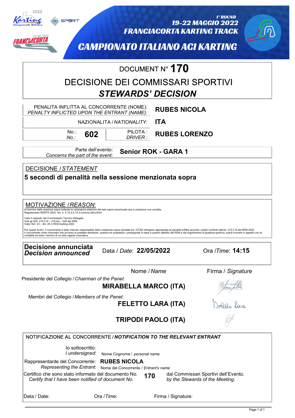

FRANCIACORTA

**CO** SPORT

#### 1° ROUND 19-22 MAGGIO 2022 **FRANCIACORTA KARTING TRACK**



**CAMPIONATO ITALIANO ACI KARTING** 

# DOCUMENT N° **170**

# DECISIONE DEI COMMISSARI SPORTIVI DOCUMENT N° **17U**<br>INE DEI COMMISSARI SPOR<br>STEWARDS' DECISION

| PENALITA INFLITTA AL CONCORRENTE (NOME):<br>PENALTY INFLICTED UPON THE ENTRANT (NAME):<br>NAZIONALITA / NATIONALITY:<br>No∴<br>602<br>No.:                                                                                                                                                                                                                                        | <b>RUBES NICOLA</b><br><b>ITA</b><br>PILOTA:<br><b>RUBES LORENZO</b><br>DRIVER :                                                                                                                                                                                                                                                                                                                                                          |
|-----------------------------------------------------------------------------------------------------------------------------------------------------------------------------------------------------------------------------------------------------------------------------------------------------------------------------------------------------------------------------------|-------------------------------------------------------------------------------------------------------------------------------------------------------------------------------------------------------------------------------------------------------------------------------------------------------------------------------------------------------------------------------------------------------------------------------------------|
| Parte dell'evento:<br>Concerns the part of the event:                                                                                                                                                                                                                                                                                                                             | <b>Senior ROK - GARA 1</b>                                                                                                                                                                                                                                                                                                                                                                                                                |
| DECISIONE / STATEMENT<br>5 secondi di penalità nella sessione menzionata sopra                                                                                                                                                                                                                                                                                                    |                                                                                                                                                                                                                                                                                                                                                                                                                                           |
| MOTIVAZIONE / REASON:<br>Al termine della sessione sopra indicata la carenatura anteriore del kart sopra menzionato era in posizione non corretta.<br>Regolamento RDSTK 2022 Art. n. 4.14.2,4.14.3,comma a/b/c/d/e/f.<br>Visto il rapporto del Commissario Tecnico Delegato<br>Visti gli Artt. 210.3 III - 216 bis - 228 del RSN<br>Visto l'Art. 23 - Art. 25 I) RDS Karting 2022 | Per questi motivi, il concorrente è stato ritenuto responsabile della violazione sopra riportata ed i CCSS ritengono appropriata la penalità inflitta secondo i poteri conferiti dall'art. 210.3 III del RSN 2022.<br>Il concorrente viene informato che avverso la predetta decisione, qualora ne sussistano i presupposti in base a quanto stabilito dal RSN e dal regolamento di giustizia sportiva, potrà ricorrere in appello con le |
| modalità ed entro i termini di cui alla vigente normativa.<br><b>Decisione annunciata</b><br><b>Decision announced</b>                                                                                                                                                                                                                                                            | Ora /Time: <b>14:15</b><br>Data / Date: 22/05/2022                                                                                                                                                                                                                                                                                                                                                                                        |
| Presidente del Collegio / Chairman of the Panel:                                                                                                                                                                                                                                                                                                                                  | Nome / Name<br>Firma / Signature<br><b>MIRABELLA MARCO (ITA)</b>                                                                                                                                                                                                                                                                                                                                                                          |
| Membri del Collegio / Members of the Panel:                                                                                                                                                                                                                                                                                                                                       | <b>FELETTO LARA (ITA)</b>                                                                                                                                                                                                                                                                                                                                                                                                                 |
|                                                                                                                                                                                                                                                                                                                                                                                   | TRIPODI PAOLO (ITA)                                                                                                                                                                                                                                                                                                                                                                                                                       |
| NOTIFICAZIONE AL CONCORRENTE / NOTIFICATION TO THE RELEVANT ENTRANT<br>lo sottoscritto:<br>I undersigned:<br>Rappresentante del Concorrente: RUBES NICOLA<br>Representing the Entrant:<br>Certifico che sono stato informato del documento No.<br>Certify that I have been notified of document No.                                                                               | Nome Cognome / personal name<br>Nome del Concorrente / Entrant's name<br>dai Commissari Sportivi dell'Evento.<br>170<br>by the Stewards of the Meeting.                                                                                                                                                                                                                                                                                   |
| Ora /Time:<br>Data / Date:                                                                                                                                                                                                                                                                                                                                                        | Firma / Signature:                                                                                                                                                                                                                                                                                                                                                                                                                        |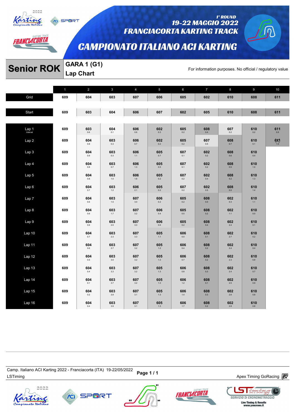

*AANCLACORTA* 

SPORT

#### 1° ROUND 19-22 MAGGIO 2022 **FRANCIACORTA KARTING TRACK**

# **CAMPIONATO ITALIANO ACI KARTING**

# **Senior ROK** GARA 1 (G1)<br>For information purposes. No official / regulatory value

**Lap Chart** 

|                  | $\mathbf{1}$ | $\overline{2}$ | $\mathbf{3}$   | $\overline{4}$ | $5\phantom{.0}$ | 6              | $\overline{7}$ | 8              | 9              | 10         |
|------------------|--------------|----------------|----------------|----------------|-----------------|----------------|----------------|----------------|----------------|------------|
| Grid             | 609          | 604            | 603            | 607            | 606             | 605            | 602            | 610            | 608            | 611        |
|                  | 609          | 603            | 604            | 606            | 607             | 602            | 605            | 610            | 608            | 611        |
| Start            |              |                |                |                |                 |                |                |                |                |            |
| $Lap1$ 1         | 609          | 603<br>$0.6\,$ | 604<br>0.1     | 606<br>$0.6\,$ | 602<br>$0.3\,$  | 605<br>0.2     | 608<br>0.4     | 607<br>0.2     | 610<br>$0.2\,$ | 611<br>0.5 |
| Lap <sub>2</sub> | 609          | 604<br>0.8     | 603<br>0.3     | 606<br>0.7     | 602<br>0.2      | 605<br>0.2     | 607<br>$0.5\,$ | 608<br>0.7     | 610<br>0.1     | 61/10      |
| Lap 3            | 609          | 604<br>0.9     | 603<br>$0.3\,$ | 606<br>1.1     | 605<br>$0.7\,$  | 607<br>0.1     | 602<br>0.2     | 608<br>$0.6\,$ | 610<br>$0.4\,$ |            |
| Lap 4            | 609          | 604<br>$0.8\,$ | 603<br>0.7     | 606<br>$1.3\,$ | 605<br>$0.5\,$  | 607<br>$0.1\,$ | 602<br>0.2     | 608<br>$0.5\,$ | 610<br>$1.0$   |            |
| Lap 5            | 609          | 604<br>$0.8\,$ | 603<br>$1.0\,$ | 606<br>$1.6$   | 605<br>$0.2\,$  | 607<br>0.2     | 602<br>$0.4\,$ | 608<br>$0.2\,$ | 610<br>$1.3\,$ |            |
| Lap6             | 609          | 604<br>0.7     | 603<br>$1.2\,$ | 606<br>2.1     | 605<br>0.2      | 607<br>0.2     | 602<br>0.5     | 608<br>0.0     | 610<br>$1.4\,$ |            |
| Lap 7            | 609          | 604<br>0.6     | 603<br>$1.5\,$ | 607<br>3.0     | 606<br>$0.2\,$  | 605<br>0.2     | 608<br>0.0     | 602<br>0.3     | 610<br>$1.1$   |            |
| Lap 8            | 609          | 604<br>$0.6\,$ | 603<br>$1.7\,$ | 607<br>3.2     | 606<br>0.4      | 605<br>$0.5\,$ | 608<br>$0.2\,$ | 602<br>$1.1\,$ | 610<br>$0.0\,$ |            |
| Lap 9            | 609          | 604<br>0.6     | 603<br>2.0     | 607<br>3.3     | 606<br>0.6      | 605<br>0.2     | 608<br>0.4     | 602<br>$2.4\,$ | 610<br>0.1     |            |
| Lap 10           | 609          | 604<br>0.7     | 603<br>2.3     | 607<br>$3.3\,$ | 605<br>$1.1$    | 606<br>0.0     | 608<br>0.1     | 602<br>2.7     | 610<br>0.2     |            |
| Lap 11           | 609          | 604<br>$0.6\,$ | 603<br>2.7     | 607<br>3.2     | 605<br>$1.2\,$  | 606<br>0.4     | 608<br>0.2     | 602<br>$2.4\,$ | 610<br>$0.4\,$ |            |
| Lap 12           | 609          | 604<br>0.5     | 603<br>$3.0\,$ | 607<br>$3.2\,$ | 605<br>$1.3\,$  | 606<br>$0.7\,$ | 608<br>0.2     | 602<br>2.3     | 610<br>$0.8\,$ |            |
| Lap 13           | 609          | 604<br>0.4     | 603<br>3.3     | 607<br>3.2     | 605<br>1.3      | 606<br>0.8     | 608<br>0.3     | 602<br>2.4     | 610<br>0.7     |            |
| Lap 14           | 609          | 604<br>0.1     | 603<br>$3.7\,$ | 607<br>3.2     | 605<br>$1.3\,$  | 606<br>$1.2$   | 608<br>0.1     | 602<br>$2.5\,$ | 610<br>0.9     |            |
| Lap 15           | 609          | 604<br>0.2     | 603<br>$3.9\,$ | 607<br>3.1     | 605<br>$1.3\,$  | 606<br>$1.4$   | 608<br>0.3     | 602<br>$2.6\,$ | 610<br>0.8     |            |
| Lap 16           | 609          | 604<br>0.4     | 603<br>$3.9\,$ | 607<br>3.1     | 605<br>$1.3\,$  | 606<br>$1.7$   | 608<br>$0.2\,$ | 602<br>$2.8\,$ | 610<br>$0.8\,$ |            |

Camp. italiano ACi Narung 2022 - Franciacoria (דורא) וש-22 Page 1 / 1<br>LSTiming Apex Timing GoRacing *a*nd the term of the Marian Baracing and the Marian Apex Timing GoRacing and the t Camp. Italiano ACI Karting 2022 - Franciacorta (ITA) 19-22/05/2022









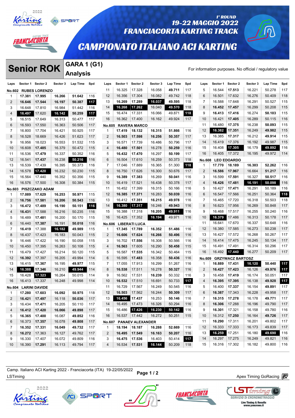

# *AANCLACORTA*

### 19-22 MAGGIO 2022 **FRANCIACORTA KARTING TRACK**

# **CAMPIONATO ITALIANO ACI KARTING**

# **Senior ROK** Sector 3 (G1)

1° ROUND

|                     |                      | <b>Senior ROK</b>               |                  | <b>GARA 1 (G1)</b> |     |                |          |                         |          |                 |            |                   |               |                         |          |                                                          |     |
|---------------------|----------------------|---------------------------------|------------------|--------------------|-----|----------------|----------|-------------------------|----------|-----------------|------------|-------------------|---------------|-------------------------|----------|----------------------------------------------------------|-----|
|                     |                      |                                 |                  | <b>Analysis</b>    |     |                |          |                         |          |                 |            |                   |               |                         |          | For information purposes. No official / regulatory value |     |
| Laps                | Sector 1 Sector 2    |                                 | Sector 3         | Lap Time           | Spd | Laps           | Sector 1 | Sector 2                | Sector 3 | <b>Lap Time</b> | Spd        | Laps              | Sector 1      | Sector 2                | Sector 3 | Lap Time                                                 | Spd |
| <b>No.602</b>       |                      | <b>RUBES LORENZO</b>            |                  |                    |     | 11             | 16.325   | 17.328                  | 16.058   | 49.711          | 117        | 5                 | 16.544        | 17.513                  | 16.221   | 50.278                                                   | 117 |
| -1                  | 17.381               | 17.995                          | 16.266           | 51.642             | 116 | 12             | 16.356   | 17.304                  | 16.082   | 49.742          | 118        | 6                 | 16.501        | 17.632                  | 16.276   | 50.409                                                   | 118 |
| 2                   | 16.646               | 17.544                          | 16.197           | 50.387             | 117 | 13             | 16.269   | 17.289                  | 16.037   | 49.595          | 118        | $\overline{7}$    | 16.588        | 17.648                  | 16.291   | 50.527                                                   | 115 |
| 3                   | 16.648               | 17.810                          | 16.984           | 51.442             | 116 | 14             | 16.268   | 17.262                  | 16.040   | 49.570          | 118        | 8                 | 16.452        | 17.457                  | 16.299   | 50.208                                                   | 115 |
| $\overline{4}$      | 16.497               | 17.620                          | 16.142           | 50.259             | 117 | 15             | 16.474   | 17.331                  | 16.066   | 49.871          | 118        | 9                 | 16.413        | 17.416                  | 16.274   | 50.103                                                   | 115 |
| 5                   | 16.515               | 17.649                          | 16.313           | 50.477             | 117 | 16             | 16.362   | 17.400                  | 16.162   | 49.924          | 117        | 10                | 16.421        | 17.405                  | 16.289   | 50.115                                                   | 116 |
| 6                   | 16.593               | 17.550                          | 16.363           | 50.506             | 117 | <b>No.605</b>  |          | <b>RAVERA MARCO</b>     |          |                 |            | 11                | 16.480        | 17.375                  | 16.238   | 50.093                                                   | 115 |
| $\overline{7}$      | 16.800               | 17.704                          | 16.421           | 50.925             | 117 | $\mathbf 1$    | 17.419   | 18.132                  | 16.315   | 51.866          | 116        | 12                | 16.382        | 17.351                  | 16.249   | 49.982                                                   | 115 |
| 8                   | 16.528               | 18.669                          | 16.426           | 51.623             | 117 | 2              | 16.503   | 17.598                  | 16.256   | 50.357          | 117        | 13                | 16.385        | 17.317                  | 16.212   | 49.914                                                   | 115 |
| 9                   | 16.956               | 18.023                          | 16.553           | 51.532             | 115 | 3              | 16.571   | 17.739                  | 16.486   | 50.796          | 117        | 14                | 16.419        | 17.376                  | 16.192   | 49.987                                                   | 115 |
| 10                  | 16.608               | 17.485                          | 16.379           | 50.472             | 115 | $\overline{4}$ | 16.480   | 17.501                  | 16.278   | 50.259          | 116        | 15                | 16.408        | 17.305                  | 16.179   | 49.892                                                   | 116 |
| 11                  | 16.536               | 17.479                          | 16.337           | 50.352             | 116 | 5              | 16.432   | 17.470                  | 16.297   | 50.199          | 117        | 16                | 16.405        | 17.372                  | 16.195   | 49.972                                                   | 114 |
| 12                  | 16.541               | 17.437                          | 16.238           | 50.216             | 116 | 6              | 16.504   | 17.610                  | 16.259   | 50.373          | 118        | <b>No.608</b>     |               | <b>LEO EDOARDO</b>      |          |                                                          |     |
| 13                  | 16.539               | 17.439                          | 16.395           | 50.373             | 116 | $\overline{7}$ | 17.046   | 17.889                  | 16.365   | 51.300          | 118        | 1                 | 17.770        | 18.189                  | 16.303   | 52.262                                                   | 116 |
| 14                  | 16.578               | 17.420                          | 16.232           | 50.230             | 115 | 8              | 16.750   | 17.626                  | 16.300   | 50.676          | 117        | $\overline{2}$    | 16.586        | 17.967                  | 16.664   | 51.217                                                   | 116 |
| 15                  | 16.564               | 17.440                          | 16.352           | 50.356             | 115 | 9              | 16.389   | 17.383                  | 16.269   | 50.041          | 116        | 3                 | 16.599        | 17.591                  | 16.327   | 50.517                                                   | 116 |
| 16                  | 16.576               | 17.500                          | 16.308           | 50.384             | 115 | 10             | 16.419   | 17.521                  | 16.438   | 50.378          | 117        | 4                 | 16.426        | 17.481                  | 16.191   | 50.098                                                   | 116 |
|                     |                      |                                 |                  |                    |     | 11             | 16.452   | 17.399                  | 16.315   | 50.166          | 116        | 5                 | 16.427        | 17.471                  | 16.291   | 50.189                                                   | 116 |
| <b>No.603</b><br>-1 | 17.089               | <b>PISZCZAKO ADAM</b><br>17.629 | 16.253           | 50.971             | 115 | 12             | 16.385   | 17.371                  | 16.283   | 50.039          | 116        | 6                 | 16.547        | 17.566                  | 16.251   | 50.364                                                   | 118 |
| 2                   | 16.756               | 17.581                          | 16.206           | 50.543             | 116 | 13             | 16.412   | 17.351                  | 16.215   | 49.978          | 116        | 7                 | 16.465        | 17.720                  | 16.318   | 50.503                                                   | 118 |
| 3                   | 16.472               | 17.489                          | 16.190           | 50.151             | 116 | 14             | 16.380   | 17.317                  | 16.246   | 49.943          | 116        | 8                 | 16.623        | 17.956                  | 16.269   | 50.848                                                   | 117 |
| $\overline{4}$      |                      |                                 |                  |                    |     | 15             | 16.388   | 17.318                  | 16.205   | 49.911          | 116        | 9                 | 16.468        | 17.517                  | 16.255   | 50.240                                                   | 116 |
| 5                   | 16.431               | 17.588                          | 16.216<br>16.200 | 50.235<br>50.170   | 116 | 16             | 16.425   | 17.352                  | 16.194   | 49.971          | 116        | 10                | 16.379        | 17.486                  | 16.313   | 50.178                                                   | 117 |
|                     | 16.489               | 17.481                          |                  |                    | 115 |                |          |                         |          |                 |            | 11                | 16.641        | 17.670                  | 16.337   | 50.648                                                   | 116 |
| 6                   | 16.440               | 17.387                          | 16.191           | 50.018             | 116 | No.606         |          | <b>LIBERATI LUCA</b>    |          |                 |            | 12                | 16.380        | 17.585                  | 16.273   | 50.238                                                   | 117 |
| $\overline{7}$      | 16.419               | 17.388                          | 16.182           | 49.989             | 115 | $\mathbf 1$    | 17.345   | 17.789                  | 16.352   | 51.486          | 116        | 13                | 16.427        | 17.572                  | 16.268   | 50.267                                                   | 117 |
| 8<br>9              | 16.437               | 17.423                          | 16.183           | 50.043             | 115 | 2<br>3         | 16.606   | 17.624                  | 16.266   | 50.496          | 116<br>116 | 14                | 16.414        | 17.475                  | 16.245   | 50.134                                                   | 117 |
|                     | 16.446               | 17.422                          | 16.190           | 50.058             | 115 |                | 16.702   | 17.556                  | 16.308   | 50.566          |            | 15                | 16.491        | 17.491                  | 16.314   |                                                          | 117 |
| 10                  | 16.450               | 17.395                          | 16.263           | 50.108             | 115 | 4              | 16.563   | 17.605                  | 16.290   | 50.458          | 115        | 16                | 16.492        | 17.440                  | 16.277   | 50.296<br>50.209                                         | 117 |
| 11                  | 16.479               | 17.427                          | 16.214           | 50.120             | 115 | 5              | 16.587   | 17.535                  | 16.342   | 50.464          | 115        |                   |               |                         |          |                                                          |     |
| 12                  | 16.392               | 17.397                          | 16.205           | 49.994             | 114 | 6              | 16.595   | 17.483                  | 16.358   | 50.436          | 116        | No.609            |               | <b>GRZYWACZ BARTOSZ</b> |          |                                                          |     |
| 13                  | 16.415               | 17.367                          | 16.195           | 49.977             | 115 | $\overline{7}$ | 17.055   | 17.913                  | 16.299   | 51.267          | 116        | 1                 | 16.889        | 17.431                  | 16.120   | 50.440                                                   | 117 |
| 14                  | 16.388               | 17.346                          | 16.210           | 49.944             | 114 | 8              | 16.538   | 17.511                  | 16.278   | 50.327          | 116        | 2                 | 16.427        | 17.423                  | 16.126   | 49.976                                                   | 117 |
| 15                  | 16.428               | 17.323                          | 16.264           | 50.015             | 114 | 9              | 16.562   | 17.531                  | 16.239   | 50.332          | 116        | 3                 | 16.458        | 17.419                  | 16.174   | 50.051                                                   | 117 |
| 16                  | 16.413               | 17.337                          | 16.248           | 49.998             | 114 | 10             | 16.532   | 17.510                  | 16.691   | 50.733          | 117        | $\overline{4}$    | 16.395        | 17.395                  | 16.138   | 49.928                                                   | 117 |
|                     | No.604 LARINI DAVIDE |                                 |                  |                    |     | 11             |          | 16.729   17.567         | 16.249   | 50.545          | 116        | 5                 | 16.400        | 17.337                  | 16.154   | 49.891                                                   | 117 |
| -1                  | 17.280               | 17.603                          | 16.092           | 50.975             | 118 | 12             |          | 16.503 17.562           | 16.244   | 50.309          | 117        | 6                 | 16.387        | 17.343                  | 16.228   | 49.958                                                   | 117 |
| 2                   | 16.421               | 17.497                          | 16.118           | 50.036             | 117 | 13             |          | 16.456 17.437           | 16.253   | 50.146          | 116        | 7                 | 16.315        | 17.278                  | 16.178   | 49.771                                                   | 117 |
| 3                   | 16.434               | 17.471                          | 16.205           | 50.110             | 117 | 14             |          | 16.495   17.473         | 16.326   | 50.294          | 116        | 8                 | 16.306        | 17.288                  | 16.196   | 49.790                                                   | 117 |
| 4                   | 16.412               | 17.420                          | 16.066           | 49.898             | 117 | 15             |          | 16.486 17.426           | 16.230   | 50.142          | 116        | 9                 | 16.301        | 17.321                  | 16.158   | 49.780                                                   | 116 |
| 5                   | 16.365               | 17.400                          | 16.087           | 49.852             | 116 | 16             |          | 16.537   17.442         | 16.272   | 50.251          | 115        | 10                | 16.312        | 17.250                  | 16.164   | 49.726                                                   | 117 |
| 6                   | 16.373               | 17.357                          | 16.078           | 49.808             | 117 | No.607         |          | <b>PANAEV ALEXANDER</b> |          |                 |            | 11                | 16.290        | 17.311                  | 16.201   | 49.802                                                   | 117 |
| $\overline{7}$      | 16.352               | 17.331                          | 16.049           | 49.732             | 117 | $\mathbf{1}$   |          | 18.194   18.187         | 16.288   | 52.669          | 116        | $12 \overline{ }$ | 16.333 17.333 |                         | 16.173   | 49.839                                                   | 117 |
| 8                   | 16.272               | 17.363                          | 16.127           | 49.762             | 117 | 2              |          | 16.495 17.549           | 16.163   | 50.207          | 116        | 13                | 16.259 17.251 |                         | 16.180   | 49.690                                                   | 116 |
| 9                   | 16.330               | 17.407                          | 16.072           | 49.809             | 116 | 3              |          | 16.475 17.536           | 16.403   | 50.414          | 117        | 14                | 16.297 17.275 |                         | 16.249   | 49.821                                                   | 116 |
| 10                  | 16.390               | 17.291                          | 16.113           | 49.794             | 117 | 4              |          | 16.534 17.531           | 16.144   | 50.209          | 118        | 15                | 16.316 17.302 |                         | 16.182   | 49.800                                                   | 116 |

Camp. italiano ACi Narung 2022 - Franciacoria (דורא) וש-22/05/2022 Page 1 / 2<br>LSTiming Apex Timing GoRacing *a*nd a later the series of the series of the series of the series of the series o Camp. Italiano ACI Karting 2022 - Franciacorta (ITA) 19-22/05/2022

**SPORT** 



**FRANCIACORTA** 



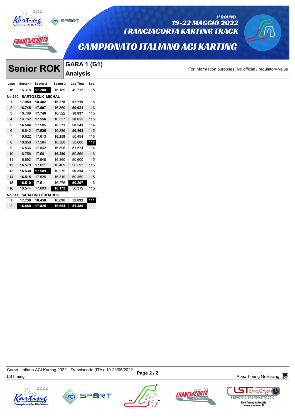



### 19-22 MAGGIO 2022 **FRANCIACORTA KARTING TRACK**

## **CAMPIONATO ITALIANO ACI KARTING**

# **Senior ROK** GARA 1 (G1)<br> **Laps Sector 1 Sector 2 Sector 3** Lap Time Spd<br> **Laps Sector 1 Sector 2** Sector 3 Lap Time Spd<br> **Laps Sector 1 Sector 2** Sector 3 Lap Time Spd **Analysis**

SPORT

1° ROUND

| Laps           | Sector 1 | Sector 2                | Sector 3 | Lap Time | Spd |
|----------------|----------|-------------------------|----------|----------|-----|
| 16             | 16.318   | 17.208                  | 16.189   | 49.715   | 115 |
| No.610         |          | <b>BARTOSZUK MICHAL</b> |          |          |     |
| 1              | 17.959   | 18.482                  | 16.278   | 52.719   | 115 |
| $\overline{2}$ | 16.745   | 17.807                  | 16.369   | 50.921   | 116 |
| 3              | 16.769   | 17.746                  | 16.322   | 50.837   | 115 |
| $\overline{4}$ | 16.762   | 17.556                  | 16.337   | 50.655   | 115 |
| 5              | 16.584   | 17.586                  | 16.371   | 50.541   | 114 |
| 6              | 16.642   | 17.535                  | 16.286   | 50.463   | 115 |
| 7              | 16.622   | 17.613                  | 16.259   | 50.494   | 115 |
| 8              | 16.656   | 17.584                  | 16.360   | 50.600   | 117 |
| 9              | 16.836   | 17.842                  | 16.896   | 51.574   | 114 |
| 10             | 16.758   | 17.561                  | 16.250   | 50.569   | 116 |
| 11             | 16.692   | 17.548                  | 16.360   | 50.600   | 115 |
| 12             | 16.573   | 17.611                  | 16.409   | 50.593   | 115 |
| 13             | 16.530   | 17.509                  | 16.275   | 50.314   | 115 |
| 14             | 16.515   | 17.525                  | 16.319   | 50.359   | 115 |
| 15             | 16.510   | 17.511                  | 16.276   | 50.297   | 116 |
| 16             | 16.544   | 17.603                  | 16.172   | 50.319   | 115 |
| No.611         |          | <b>SABATINO EDOARDO</b> |          |          |     |
| 1              | 17.738   | 18.458                  | 16.696   | 52.892   | 111 |
| 2              | 16.880   | 17.825                  | 16.684   | 51.389   | 111 |

Camp. italiano ACi Narung 2022 - Franciacoria (דורא) וש-22/05/2022 **Page 2 / 2**<br>LSTiming Apex Timing GoRacing *a*nd a late of the series of the series of the series of the series of the series o Camp. Italiano ACI Karting 2022 - Franciacorta (ITA) 19-22/05/2022









<u>I imrini</u>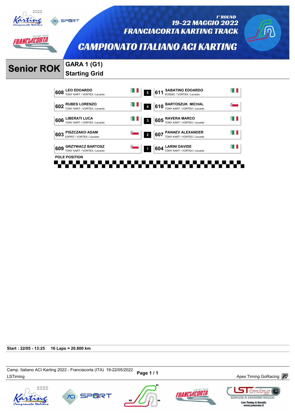

*ANCLACORTA* 

19-22 MAGGIO 2022 **FRANCIACORTA KARTING TRACK** 



1° ROUND

**CAMPIONATO ITALIANO ACI KARTING** 

# **Senior ROK GARA 1 (G1)**

# **Starting Grid**

**CO** SPORT



**Start : 22/05 - 13:25 16 Laps = 20.800 km**

Camp. nanano ACI Naning 2022 - Franciacona (11A) العديد Page 1 / 1 Magnetic Memorial Apex Timing GoRacing  $\overline{\mathbb{CP}}$ Camp. Italiano ACI Karting 2022 - Franciacorta (ITA) 19-22/05/2022









 $\Box$  iming **SERVIZIO DI CRONOMETRAGGIO** Live Timing & Results<br>www.youcrono.it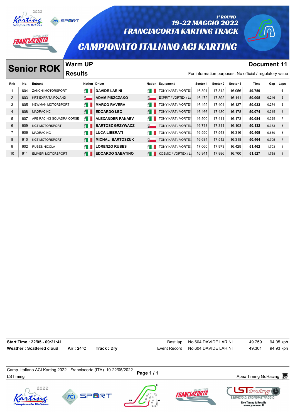

#### 1° ROUND 19-22 MAGGIO 2022 **FRANCIACORTA KARTING TRACK**

### **CAMPIONATO ITALIANO ACI KARTING**

**Senior ROK Warm UP Document 11** 

RANCLACORTA

**Warm UP Results** 

|                |     | <b>Senior ROK</b>         | WAHII UT       |                         |                         |                      |          |          |          | POCUNTUIL II                                             |       |                |
|----------------|-----|---------------------------|----------------|-------------------------|-------------------------|----------------------|----------|----------|----------|----------------------------------------------------------|-------|----------------|
|                |     |                           | <b>Results</b> |                         |                         |                      |          |          |          | For information purposes. No official / regulatory value |       |                |
| <b>Rnk</b>     | No. | Entrant                   |                | <b>Nation Driver</b>    |                         | Nation Equipment     | Sector 1 | Sector 2 | Sector 3 | Time                                                     |       | Gap Laps       |
|                | 604 | <b>ZANCHI MOTORSPORT</b>  | ÉП             | <b>DAVIDE LARINI</b>    | ÉП                      | TONY KART / VORTEX   | 16.391   | 17.312   | 16.056   | 49.759                                                   |       | 6              |
| 2              | 603 | <b>KRT EXPRITA POLAND</b> | $\overline{8}$ | <b>ADAM PISZCZAKO</b>   | $\overline{\mathbf{S}}$ | EXPRIT / VORTEX / Le | 16.472   | 17.392   | 16.141   | 50.005                                                   | 0.246 | 5              |
| 3              | 605 | NEWMAN MOTORSPORT         | E I            | <b>MARCO RAVERA</b>     | E I                     | TONY KART / VORTEX   | 16.492   | 17.404   | 16.137   | 50.033                                                   | 0.274 | 3              |
| $\overline{4}$ | 608 | <b>MADRACINC</b>          | E I            | <b>EDOARDO LEO</b>      | E I                     | TONY KART / VORTEX   | 16.466   | 17.430   | 16.178   | 50.074                                                   | 0.315 | 4              |
| 5              | 607 | APE RACING SQUADRA CORSE  | É I            | <b>ALEXANDER PANAEV</b> | å I                     | TONY KART / VORTEX   | 16.500   | 17.411   | 16.173   | 50.084                                                   | 0.325 | 7              |
| 6              | 609 | <b>KGT MOTORSPORT</b>     | H              | <b>BARTOSZ GRZYWACZ</b> | $\frac{5}{2}$           | TONY KART / VORTEX   | 16.718   | 17.311   | 16.103   | 50.132                                                   | 0.373 | 3              |
| $\overline{7}$ | 606 | <b>MADRACING</b>          | ÉП             | <b>LUCA LIBERATI</b>    | å I                     | TONY KART / VORTEX   | 16.550   | 17.543   | 16.316   | 50.409                                                   | 0.650 | 8              |
| 8              | 610 | <b>KGT MOTORSPORT</b>     | E I            | <b>MICHAL BARTOSZUK</b> | $\frac{5}{2}$           | TONY KART / VORTEX   | 16.634   | 17.512   | 16.318   | 50.464                                                   | 0.705 | $\overline{7}$ |
| 9              | 602 | <b>RUBES NICOLA</b>       | ÉП             | <b>LORENZO RUBES</b>    | É I                     | TONY KART / VORTEX   | 17.060   | 17.973   | 16.429   | 51.462                                                   | 1.703 |                |
| 10             | 611 | <b>EMMEPI MOTORSPORT</b>  | E I            | <b>EDOARDO SABATINO</b> | Ê I                     | KOSMIC / VORTEX / Le | 16.941   | 17.886   | 16.700   | 51.527                                                   | 1.768 | 4              |

| Start Time: 22/05 - 09:21:41 |            |            | Best lap: No.604 DAVIDE LARINI      | 49.759 | 94.05 kph |
|------------------------------|------------|------------|-------------------------------------|--------|-----------|
| Weather: Scattered cloud     | Air : 24°C | Track: Dry | Event Record : No.604 DAVIDE LARINI | 49.301 | 94.93 kph |

Camp. italiano ACI Narung 2022 - Franciacoria (דורא) וש-22/05/2022 Page 1 / 1<br>LSTiming Apex Timing GoRacing *a*nd a three to the term of the term of the term of Apex Timing GoRacing and the t Camp. Italiano ACI Karting 2022 - Franciacorta (ITA) 19-22/05/2022









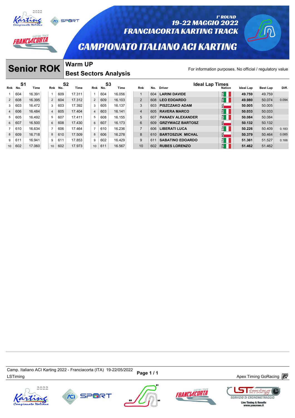



### 1° ROUND 19-22 MAGGIO 2022 **FRANCIACORTA KARTING TRACK**

### **CAMPIONATO ITALIANO ACI KARTING**

# **Senior ROK** Warm UP

*ANCLACORTA* 

### **Warm UP Best Sectors Analysis**

|                |                | <b>Senior ROK</b> |                |         | <b>Warm UP</b>         |                 |           | <b>Best Sectors Analysis</b> |                |     | For information purposes. No official / regulatory value |               |                  |                 |       |
|----------------|----------------|-------------------|----------------|---------|------------------------|-----------------|-----------|------------------------------|----------------|-----|----------------------------------------------------------|---------------|------------------|-----------------|-------|
| Rnk No.        | S <sub>1</sub> | Time              |                | Rnk No. | S <sub>2</sub><br>Time | Rnk             | S3<br>No. | Time                         | <b>Rnk</b>     | No. | <b>Ideal Lap Times</b><br><b>Driver</b>                  | <b>Nation</b> | <b>Ideal Lap</b> | <b>Best Lap</b> | Diff. |
|                | 604            | 16.391            |                | 609     | 17.311                 | $\mathbf{1}$    | 604       | 16.056                       | $\mathbf{1}$   | 604 | <b>LARINI DAVIDE</b>                                     | $H_{\rm II}$  | 49.759           | 49.759          |       |
| 2              | 608            | 16.395            | 2              | 604     | 17.312                 | $\overline{2}$  | 609       | 16.103                       | $\overline{2}$ | 608 | <b>LEO EDOARDO</b>                                       | $H_{\rm II}$  | 49.980           | 50.074          | 0.094 |
| 3              | 603            | 16.472            | 3              | 603     | 17.392                 | 3               | 605       | 16.137                       | 3              | 603 | <b>PISZCZAKO ADAM</b>                                    | $\frac{1}{2}$ | 50.005           | 50.005          |       |
| $\overline{4}$ | 606            | 16.484            | $\overline{4}$ | 605     | 17.404                 | $\overline{4}$  | 603       | 16.141                       | $\overline{4}$ | 605 | <b>RAVERA MARCO</b>                                      | $E^4$         | 50.033           | 50.033          |       |
| 5              | 605            | 16.492            | 5              | 607     | 17.411                 | 5               | 608       | 16.155                       | 5              | 607 | <b>PANAEV ALEXANDER</b>                                  | $H^4$         | 50.084           | 50.084          |       |
| 6              | 607            | 16.500            | 6              | 608     | 17.430                 | 6               | 607       | 16.173                       | 6              | 609 | <b>GRZYWACZ BARTOSZ</b>                                  | 화             | 50.132           | 50.132          |       |
|                | 610            | 16.634            | $\overline{7}$ | 606     | 17.464                 | $\overline{7}$  | 610       | 16.236                       | $\overline{7}$ | 606 | <b>LIBERATI LUCA</b>                                     | $E^4$         | 50.226           | 50.409          | 0.183 |
| 8              | 609            | 16.718            | 8              | 610     | 17.509                 | 8               | 606       | 16.278                       | 8              | 610 | <b>BARTOSZUK MICHAL</b>                                  | $\frac{d}{2}$ | 50.379           | 50.464          | 0.085 |
| 9              | 611            | 16.941            | 9              | 611     | 17.853                 | 9               | 602       | 16.429                       | 9              | 611 | <b>SABATINO EDOARDO</b>                                  | $H_{\rm II}$  | 51.361           | 51.527          | 0.166 |
| 10             | 602            | 17.060            | 10             | 602     | 17.973                 | 10 <sup>°</sup> | 611       | 16.567                       | 10             | 602 | <b>RUBES LORENZO</b>                                     | $H^4$         | 51.462           | 51.462          |       |

Camp. italiano ACI Narung 2022 - Franciacoria (דורא ישראב בער באט בארצון Page 1 / 1<br>LSTiming Apex Timing GoRacing *a*nd the terminal services and the terminal services are terminal services and te Camp. Italiano ACI Karting 2022 - Franciacorta (ITA) 19-22/05/2022







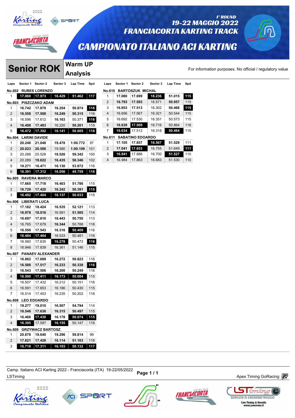

# *IANCLACORTA*

# **19-22 MAGGIO 2022 FRANCIACORTA KARTING TRACK**

# **CAMPIONATO ITALIANO ACI KARTING**

 **17.080 17.699 16.236 51.015 115 16.793 17.593** 16.571 **50.957** 115 **16.653 17.513** 16.302 **50.468 115** 16.656 17.567 16.321 50.544 115 16.692 17.530 16.351 50.573 115 **16.639 17.509** 16.716 50.864 116 **16.634** 17.512 16.318 **50.464** 115

 **17.105 17.857 16.567 51.529** 111 **17.041 17.853** 16.755 51.649 **111 16.941** 17.886 16.700 **51.527** 110 16.984 17.863 16.683 51.530 110

**No.610 BARTOSZUK MICHAL**

**No.611 SABATINO EDOARDO**

# **Senior ROK** Analysis<br>
Laps Sector 1 Sector 2 Sector 3 Lap Time Spd Laps

**Warm UP Analysis** 

For information purposes. No official / regulatory value For informal<br>
Laps Sector 1 Sector 2 Sector 3 Lap Time Spd<br>
<u>Laps Sector 1 Sector 2 Sector 3 Lap Time Spd</u>

1° ROUND

| Laps           | Sector 1             | Sector 2                | Sector 3 | ∟ap ime  | spa | Lap            |
|----------------|----------------------|-------------------------|----------|----------|-----|----------------|
| No.602         |                      | <b>RUBES LORENZO</b>    |          |          |     | No.            |
| 1              | 17.060               | 17.973                  | 16.429   | 51.462   | 117 | 1              |
| No.603         |                      | <b>PISZCZAKO ADAM</b>   |          |          |     | $\overline{c}$ |
| 1              | 16.742               | 17.878                  | 16.254   | 50.874   | 116 | 3              |
| 2              | 16.558               | 17.508                  | 16.249   | 50.315   | 116 | 4              |
| 3              | 16.596               | 17.612                  | 16.163   | 50.371   | 116 | 5              |
| $\overline{4}$ | 16.498               | 17.483                  | 16.220   | 50.201   | 115 | 6              |
| 5              | 16.472               | 17.392                  | 16.141   | 50.005   | 116 | 7              |
|                | No.604 LARINI DAVIDE |                         |          |          |     | No.            |
| 1              | 20.246               | 21.048                  | 19.478   | 1:00.772 | 97  | 1              |
| 2              | 20.023               | 20.506                  | 19.580   | 1:00.109 | 101 | 2              |
| 3              | 20.288               | 20.528                  | 18.526   | 59.342   | 100 | 3              |
| 4              | 20.289               | 19.622                  | 16.435   | 56.346   | 102 | 4              |
| 5              | 19.271               | 18.471                  | 16.130   | 53.872   | 116 |                |
| 6              | 16.391               | 17.312                  | 16.056   | 49.759   | 116 |                |
| No.605         |                      | <b>RAVERA MARCO</b>     |          |          |     |                |
| 1              | 17.665               | 17.718                  | 16.403   | 51.786   | 115 |                |
| 2              | 16.729               | 17.420                  | 16.242   | 50.391   | 115 |                |
| 3              | 16.492               | 17.404                  | 16.137   | 50.033   | 115 |                |
|                | No.606 LIBERATI LUCA |                         |          |          |     |                |
| 1              | 17.162               | 18.424                  | 16.535   | 52.121   | 113 |                |
| 2              | 16.978               | 18.016                  | 16.591   | 51.585   | 114 |                |
| 3              | 16.697               | 17.610                  | 16.443   | 50.750   | 113 |                |
| 4              | 16.765               | 17.679                  | 16.344   | 50.788   | 116 |                |
| 5              | 16.550               | 17.543                  | 16.316   | 50.409   | 116 |                |
| 6              | 16.484               | 17.464                  | 16.533   | 50.481   | 116 |                |
| 7              | 16.560               | 17.635                  | 16.278   | 50.473   | 116 |                |
| 8              | 16.946               | 17.839                  | 16.361   | 51.146   | 115 |                |
| No.607         |                      | <b>PANAEV ALEXANDER</b> |          |          |     |                |
| 1              | 16.862               | 17.689                  | 16.272   | 50.823   | 116 |                |
| 2              | 16.588               | 17.517                  | 16.233   | 50.338   | 116 |                |
| 3              | 16.543               | 17.506                  | 16.200   | 50.249   | 116 |                |
| 4              | 16.500               | 17.411                  | 16.173   | 50.084   | 115 |                |
| 5              | 16.507               | 17.432                  | 16.212   | 50.151   | 116 |                |
| 6              | 16.591               | 17.653                  | 16.186   | 50.430   | 115 |                |
| 7              | 16.514               | 17.453                  | 16.235   | 50.202   | 116 |                |
|                | No.608 LEO EDOARDO   |                         |          |          |     |                |
| 1              | 19.277               | 19.010                  | 16.507   | 54.794   | 114 |                |
| 2              | 16.546               | 17.636                  | 16.315   | 50.497   | 115 |                |
| 3              | 16.466               | 17.430                  | 16.178   | 50.074   | 115 |                |
| 4              | 16.395               | 17.597                  | 16.155   | 50.147   | 116 |                |
| No.609         |                      | <b>GRZYWACZ BARTOSZ</b> |          |          |     |                |
| 1              | 20.878               | 19.640                  | 19.296   | 59.814   | 99  |                |
| 2              | 17.621               | 17.428                  | 16.114   | 51.163   | 116 |                |
| 3              | 16.718               | 17.311                  | 16.103   | 50.132   | 117 |                |
|                |                      |                         |          |          |     |                |

Camp, italiano ACI Naturig 2022 - Franciacona (11A) 19-22/00/2022 Page 1 / 1<br>LSTiming Apex Timing GoRacing P Camp. Italiano ACI Karting 2022 - Franciacorta (ITA) 19-22/05/2022





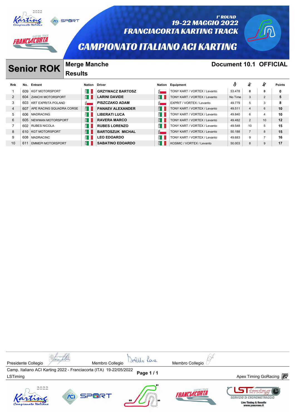

#### 1° ROUND 19-22 MAGGIO 2022 **FRANCIACORTA KARTING TRACK**

# **CAMPIONATO ITALIANO ACI KARTING**



RANCLACORTA

# **Senior ROK** Merge Manche<br> **Senior ROK December 10.1 OFFICIAL**

|     |                       | <b>Results</b>                                      |                                                                                                                                                      |                                                                |                              |                  |                |                |               |
|-----|-----------------------|-----------------------------------------------------|------------------------------------------------------------------------------------------------------------------------------------------------------|----------------------------------------------------------------|------------------------------|------------------|----------------|----------------|---------------|
| No. |                       |                                                     | Driver                                                                                                                                               |                                                                |                              | å                | r.             | rg.            | <b>Points</b> |
| 609 | <b>KGT MOTORSPORT</b> |                                                     | <b>GRZYWACZ BARTOSZ</b>                                                                                                                              | <u>ਕੋ – </u>                                                   | TONY KART / VORTEX / Levanto | 53.478           | 0              | 0              | 0             |
| 604 |                       |                                                     | <b>LARINI DAVIDE</b>                                                                                                                                 | E I                                                            | TONY KART / VORTEX / Levanto | No Time          | 3              | 2              | 5             |
| 603 |                       |                                                     | <b>PISZCZAKO ADAM</b>                                                                                                                                | $\bar{\mathbf{S}}$                                             | EXPRIT / VORTEX / Levanto    | 49.779           | 5              | 3              | 8             |
| 607 |                       |                                                     | <b>PANAEV ALEXANDER</b>                                                                                                                              | E I                                                            | TONY KART / VORTEX / Levanto | 49.511           | $\overline{4}$ | 6              | 10            |
| 606 | <b>MADRACING</b>      |                                                     | <b>LIBERATI LUCA</b>                                                                                                                                 | Ê L                                                            | TONY KART / VORTEX / Levanto | 49.840           | 6              | 4              | 10            |
| 605 |                       |                                                     | <b>RAVERA MARCO</b>                                                                                                                                  | E I                                                            | TONY KART / VORTEX / Levanto | 49.482           | 2              | 10             | 12            |
| 602 |                       |                                                     | <b>RUBES LORENZO</b>                                                                                                                                 | E I                                                            | TONY KART / VORTEX / Levanto | 49.548           | 10             | 5              | 15            |
| 610 | <b>KGT MOTORSPORT</b> |                                                     | <b>BARTOSZUK MICHAL</b>                                                                                                                              | $\overline{8}$                                                 | TONY KART / VORTEX / Levanto | 50.188           |                | 8              | 15            |
| 608 | <b>MADRACINC</b>      |                                                     | <b>LEO EDOARDO</b>                                                                                                                                   | Ê II                                                           | TONY KART / VORTEX / Levanto | 49.683           | 9              | $\overline{ }$ | 16            |
| 61' |                       |                                                     | <b>SABATINO EDOARDO</b>                                                                                                                              | E I                                                            | KOSMIC / VORTEX / Levanto    | 50.003           | 8              | 9              | 17            |
|     |                       | <b>Senior ROK</b><br>Entrant<br><b>RUBES NICOLA</b> | ÉΠ<br><b>ZANCHI MOTORSPORT</b><br><b>KRT EXPRITA POLAND</b><br>APE RACING SQUADRA CORSE<br>ÉП<br>NEWMAN MOTORSPORT<br>ĔΠ<br><b>EMMEPI MOTORSPORT</b> | Nation<br>Ê I<br>$\bar{S}$<br>E I<br>E I<br>Ê I<br>Ê I<br>Ê II |                              | Nation Equipment |                |                |               |

Presidente Collegio *Membro* Collegio Membro Collegio **Membro Collegio** Membro Collegio **Membro Collegio** Camp. Italiano ACI Karting 2022 - Franciacorta (ITA) 19-22/05/2022 Camp. italiano ACI Karting 2022 - Franciacoria (++A) +9-22/05/2022 **Page 1 / 1**<br>LSTiming Apex Timing GoRacing *a*nd a later the second term of the second term of the second and the second and t  $2022$ 1 iming RANCLACORTA









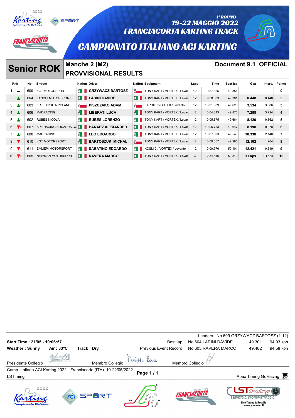

#### 1° ROUND 19-22 MAGGIO 2022 **FRANCIACORTA KARTING TRACK**



## **CAMPIONATO ITALIANO ACI KARTING**

# **Senior ROK** Manche 2 (M2) **Document 9.1 OFFICIAL**

NCLACORTA

**SPORT** 

# **PROVVISIONAL RESULTS**

|                    |          |     | <b>Senior ROK</b>         |                           | $MQIIOUIOL$ $\sim$ $MII$    |                           |                                          |      |           | POCUMENT 3.1 OF FORL |        |         |              |
|--------------------|----------|-----|---------------------------|---------------------------|-----------------------------|---------------------------|------------------------------------------|------|-----------|----------------------|--------|---------|--------------|
|                    |          |     |                           |                           | <b>PROVVISIONAL RESULTS</b> |                           |                                          |      |           |                      |        |         |              |
| Rnk                |          | No. | Entrant                   |                           | <b>Nation Driver</b>        |                           | <b>Nation Equipment</b>                  | Laps | Time      | Best lap             | Gap    | Interv. | Points       |
|                    | $\equiv$ | 609 | <b>KGT MOTORSPORT</b>     |                           | <b>E CRZYWACZ BARTOSZ</b>   | $\bar{8}$                 | TONY KART / VORTEX / Levan               | 12   | 9:57.555  | 49.351               |        |         | 0            |
| $2 \triangle^{-1}$ |          | 604 | <b>ZANCHI MOTORSPORT</b>  | E I                       | <b>LARINI DAVIDE</b>        | ĔΠ                        | TONY KART / VORTEX / Levar               | 12   | 9:58.003  | 49.301               | 0.448  | 0.448   | $\mathbf{2}$ |
| $3 \triangle 2$    |          | 603 | <b>KRT EXPRITA POLAND</b> | $\vec{p}$                 | <b>PISZCZAKO ADAM</b>       | $\overline{\mathbf{S}}$   | EXPRIT / VORTEX / Levanto                | 12   | 10:01.089 | 49.626               | 3.534  | 3.086   | 3            |
| $4 \triangle^2$    |          | 606 | <b>MADRACING</b>          | É II                      | <b>LIBERATI LUCA</b>        | É II                      | TONY KART / VORTEX / Levar               | 12   | 10:04.813 | 49.876               | 7.258  | 3.724   | 4            |
| $5 \triangle 5$    |          | 602 | <b>RUBES NICOLA</b>       | Ê II                      | <b>RUBES LORENZO</b>        |                           | $\frac{1}{2}$ TONY KART / VORTEX / Levan | 12   | 10:05.675 | 49.664               | 8.120  | 0.862   | 5            |
| $6 \sqrt{2}$       |          | 607 | APE RACING SQUADRA CO     | $\mathbf{E}$ $\mathbf{H}$ | <b>PANAEV ALEXANDER</b>     |                           | TONY KART / VORTEX / Levar               | 12   | 10:05.753 | 49.647               | 8.198  | 0.078   | 6            |
| $7 \triangle 2$    |          | 608 | <b>MADRACINC</b>          | E I                       | <b>LEO EDOARDO</b>          | $\mathbf{E}$ $\mathbf{H}$ | TONY KART / VORTEX / Levan               | 12   | 10:07.893 | 49.546               | 10.338 | 2.140   |              |
| $8 \sqrt{1}$       |          | 610 | <b>KGT MOTORSPORT</b>     | É II                      | <b>BARTOSZUK MICHAL</b>     |                           | TONY KART / VORTEX / Levar               | 12   | 10:09.657 | 49.985               | 12.102 | 1.764   | 8            |
| $9\sqrt{1}$        |          | 611 | <b>EMMEPI MOTORSPORT</b>  | Ê II                      | <b>SABATINO EDOARDO</b>     | £ I                       | KOSMIC / VORTEX / Levanto                | 12   | 10:09.976 | 50.101               | 12.421 | 0.319   | 9            |
| 10 $\nabla$ 8      |          | 605 | NEWMAN MOTORSPORT         | Ê I I                     | <b>RAVERA MARCO</b>         | Ê II                      | TONY KART / VORTEX / Levar               | 3    | 2:34.646  | 50.310               | 9 Laps | 9 Laps  | 10           |

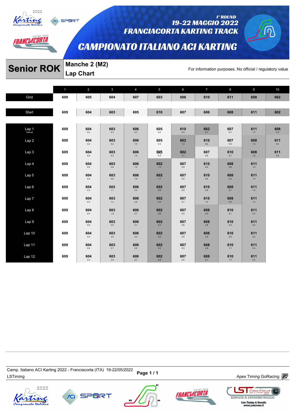

*AANCLACORTA* 

**SPORT** 

#### 1° ROUND 19-22 MAGGIO 2022 **FRANCIACORTA KARTING TRACK**

# **CAMPIONATO ITALIANO ACI KARTING**

# **Senior ROK** Manche 2 (M2)<br>For information purposes. No official / regulatory value

**Lap Chart** 

|                    | 1   | 2              | $\mathbf{3}$   | $\overline{4}$       | 5                    | $6\phantom{1}$                 | $7\overline{ }$                    | 8                            | 9              | 10         |
|--------------------|-----|----------------|----------------|----------------------|----------------------|--------------------------------|------------------------------------|------------------------------|----------------|------------|
| Grid               | 609 | 605            | 604            | 607                  | 603                  | 606                            | 610                                | 611                          | 608            | 602        |
|                    |     |                |                |                      |                      |                                |                                    |                              |                |            |
| Start              | 609 | 604            | 603            | 605                  | 610                  | 607                            | 606                                | 608                          | 611            | 602        |
|                    | 609 | 604            | 603            | 606                  | 605                  | 610                            | 602                                | 607                          | 611            | 608        |
| Lap <sub>1</sub> 1 |     | 0.2            | $0.3\,$        | $0.7\,$              | 0.4                  | 0.4                            | 0.1                                | 0.1                          | 1.3            | 0.0        |
| Lap 2              | 609 | 604<br>$0.4\,$ | 603<br>0.2     | 606<br>$1.0\,$       | 605<br>0.3           | 602<br>1.4                     | 610<br>0.2                         | 607<br>0.0                   | 608<br>1.3     | 611<br>0.3 |
| Lap 3              | 609 | 604<br>$0.5\,$ | 603<br>$0.3\,$ | 606<br>$1.3$         | $605$ <sub>0.4</sub> | 602<br>1.1                     | 607<br>$0.8\,$                     | 610<br>0.1                   | 608<br>1.0     | 611<br>0.5 |
| Lap 4              | 609 | 604<br>$0.5\,$ | 603<br>$0.6\,$ | $606$ <sub>1.5</sub> | $602$ <sub>1.3</sub> | $\underset{0.9}{\textbf{607}}$ | $610$ $_{\scriptscriptstyle{0.2}}$ | $\mathbf{608}\ \mathbf{0.6}$ | 611<br>$1.0\,$ |            |
| Lap 5              | 609 | 604<br>$0.4\,$ | 603<br>$0.8\,$ | 606<br>1.9           | 602<br>$1.1$         | 607<br>$0.9\,$                 | 610<br>$0.5\,$                     | 608<br>$0.2\,$               | 611<br>$1.4\,$ |            |
| Lap 6              | 609 | 604<br>$0.3\,$ | 603<br>$1.1$   | 606<br>2.3           | 602<br>$0.8\,$       | 607<br>$0.9\,$                 | 610<br>0.9                         | 608<br>0.1                   | 611<br>$1.4\,$ |            |
| Lap 7              | 609 | 604<br>$0.3\,$ | 603<br>$1.4\,$ | 606<br>$2.6\,$       | 602<br>$0.8\,$       | 607<br>$0.7\,$                 | 610<br>1.4                         | 608<br>0.0                   | 611<br>1.2     |            |
| Lap 8              | 609 | 604<br>0.4     | 603<br>$1.8\,$ | 606<br>$2.7\,$       | 602<br>$0.8\,$       | 607<br>$0.5\,$                 | 608<br>2.5                         | 610<br>0.1                   | 611<br>0.4     |            |
| Lap 9              | 609 | 604<br>$0.5\,$ | 603<br>2.0     | 606<br>3.1           | 602<br>0.4           | 607<br>$0.6\,$                 | 608<br>2.8                         | 610<br>$0.3\,$               | 611<br>0.2     |            |
| Lap 10             | 609 | 604<br>$0.4\,$ | 603<br>$2.5\,$ | 606<br>$3.2\,$       | 602<br>0.2           | 607<br>$0.6\,$                 | 608<br>2.9                         | 610<br>$0.5\,$               | 611<br>$0.3\,$ |            |
| Lap 11             | 609 | 604<br>$0.4\,$ | 603<br>2.7     | 606<br>$3.5\,$       | 602<br>$0.3\,$       | 607<br>0.3                     | 608<br>$2.8\,$                     | 610<br>$1.1$                 | 611<br>0.3     |            |
| Lap 12             | 609 | 604<br>$0.4\,$ | 603<br>$3.0\,$ | 606<br>$3.7\,$       | 602<br>$0.8\,$       | 607<br>$0.0\,$                 | 608<br>2.1                         | 610<br>$1.7\,$               | 611<br>$0.3\,$ |            |

Camp. italiano ACi Narung 2022 - Franciacoria (דורא) וש-22 Page 1 / 1<br>LSTiming Apex Timing GoRacing *a*nd the term of the Marian Baracing and the Marian Apex Timing GoRacing and the t Camp. Italiano ACI Karting 2022 - Franciacorta (ITA) 19-22/05/2022







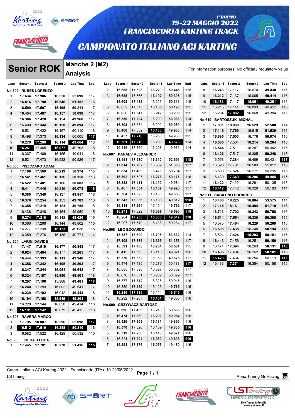

# RANCLACORTA

# 19-22 MAGGIO 2022 **FRANCIACORTA KARTING TRACK**

### **CAMPIONATO ITALIANO ACI KARTING**

### **Analysis Senior ROK** Manche 2 (M2)

1° ROUND

|                |                   |                       |                  | Manche 2 (M2)   |     |                |          |                                   |          |          |     |                |                  |                         |          |                                                          |     |
|----------------|-------------------|-----------------------|------------------|-----------------|-----|----------------|----------|-----------------------------------|----------|----------|-----|----------------|------------------|-------------------------|----------|----------------------------------------------------------|-----|
|                |                   | <b>Senior ROK</b>     |                  | <b>Analysis</b> |     |                |          |                                   |          |          |     |                |                  |                         |          | For information purposes. No official / regulatory value |     |
| Laps           | Sector 1 Sector 2 |                       | Sector 3         | Lap Time        | Spd | Laps           | Sector 1 | Sector 2                          | Sector 3 | Lap Time | Spd | Laps           | Sector 1         | Sector 2                | Sector 3 | Lap Time                                                 | Spd |
| No.602         |                   | <b>RUBES LORENZO</b>  |                  |                 |     | $\overline{2}$ | 16.688   | 17.528                            | 16.229   | 50.445   | 115 | 8              | 16.243           | 17.117                  | 16.070   | 49.430                                                   | 116 |
| 1              | 17.634            | 17.906                | 16.550           | 52.090          | 117 | 3              | 16.638   | 17.565                            | 16.192   | 50.395   | 115 | 9              | 16.212           | 17.137                  | 16.065   | 49.414                                                   | 116 |
| 2              | 16.816            | 17.790                | 16.546           | 51.152          | 116 | 4              | 16.603   | 17.482                            | 16.226   | 50.311   | 115 | 10             | 16.183           | 17.117                  | 16.051   | 49.351                                                   | 116 |
| 3              | 16.509            | 17.507                | 16.195           | 50.211          | 117 | 5              | 16.632   | 17.373                            | 16.185   | 50.190   | 115 | 11             | 16.215           | 17.144                  | 16.093   | 49.452                                                   | 116 |
| 4              | 16.454            | 17.487                | 16.157           | 50.098          | 117 | 6              | 16.620   | 17.347                            | 16.242   | 50.209   | 115 | 12             | 16.234           | 17.082                  | 16.068   | 49.384                                                   | 116 |
| 5              | 16.386            | 17.428                | 16.154           | 49.968          | 117 | $\overline{7}$ | 16.580   | 17.294                            | 16.209   | 50.083   | 114 | <b>No.610</b>  |                  | <b>BARTOSZUK MICHAL</b> |          |                                                          |     |
| 6              | 16.400            | 17.344                | 16.150           | 49.894          | 117 | 8              | 16.503   | 17.354                            | 16.202   | 50.059   | 115 | 1              | 17.891           | 18.080                  | 16.529   | 52.500                                                   | 114 |
| 7              | 16.531            | 17.422                | 16.157           | 50.110          | 116 | 9              | 16.468   | 17.332                            | 16.183   | 49.983   | 114 | 2              | 17.146           | 17.769                  | 16.615   | 51.530                                                   | 116 |
| 8              | 16.498            | 17.373                | 16.134           | 50.005          | 117 | 10             | 16.457   | 17.216                            | 16.260   | 49.933   | 115 | 3              | 16.695           | 17.503                  | 16.776   | 50.974                                                   | 115 |
| 9              | 16.270            | 17.280                | 16.114           | 49.664          | 118 | 11             | 16.361   | 17.216                            | 16.299   | 49.876   | 114 | 4              | 16.566           | 17.504                  | 16.214   | 50.284                                                   | 116 |
| 10             | 16.261            | 17.365                | 16.077           | 49.703          | 118 | 12             | 16.418   | 17.360                            | 16.208   | 49.986   | 114 | 5              | 16.544           | 17.511                  | 16.287   | 50.342                                                   | 115 |
|                |                   | 17.409                |                  | 49.941          |     |                |          |                                   |          |          |     | 6              |                  | 17.517                  | 16.305   | 50.248                                                   | 115 |
| 11             | 16.367            |                       | 16.165<br>16.532 |                 | 118 | No.607         | 18.451   | <b>PANAEV ALEXANDER</b><br>17.930 | 16.310   | 52.691   |     |                | 16.426<br>16.558 | 17.384                  | 16.489   |                                                          |     |
| 12             | 16.521            | 17.473                |                  | 50.526          | 117 | $\mathbf{1}$   |          |                                   |          |          | 118 | 7              |                  |                         |          | 50.431                                                   | 117 |
| <b>No.603</b>  |                   | <b>PISZCZAKO ADAM</b> |                  |                 |     | $\overline{2}$ | 17.014   | 17.702                            | 16.589   | 51.305   | 117 | 8              | 16.698           | 17.731                  | 16.583   | 51.012                                                   | 116 |
| 1              | 17.186            | 17.569                | 16.219           | 50.974          | 115 | 3              | 16.834   | 17.489                            | 16.471   | 50.794   | 117 | 9              | 16.500           | 17.524                  | 16.271   | 50.295                                                   | 115 |
| 2              | 16.561            | 17.461                | 16.136           | 50.158          | 116 | 4              | 16.392   | 17.507                            | 16.276   | 50.175   | 116 | 10             | 16.430           | 17.349                  | 16.206   | 49.985                                                   | 115 |
| 3              | 16.522            | 17.401                | 16.160           | 50.083          | 116 | 5              | 16.383   | 17.411                            | 16.190   | 49.984   | 117 | 11             | 16.422           | 17.422                  | 16.291   | 50.135                                                   | 115 |
| 4              | 16.411            | 17.446                | 16.216           | 50.073          | 116 | 6              | 16.407   | 17.354                            | 16.167   | 49.928   | 117 | 12             | 16.412           | 17.442                  | 16.329   | 50.183                                                   | 114 |
| 5              | 16.380            | 17.340                | 16.137           | 49.857          | 116 | $\overline{7}$ | 16.364   | 17.323                            | 16.166   | 49.853   | 117 | <b>No.611</b>  |                  | <b>SABATINO EDOARDO</b> |          |                                                          |     |
| 6              | 16.376            | 17.254                | 16.153           | 49.783          | 116 | 8              | 16.343   | 17.336                            | 16.133   | 49.812   | 118 | 1              | 18.466           | 18.225                  | 16.884   | 53.575                                                   | 111 |
| 7              | 16.355            | 17.219                | 16.184           | 49.758          | 115 | 9              | 16.314   | 17.294                            | 16.154   | 49.762   | 117 | $\overline{2}$ | 17.145           | 18.161                  | 16.404   | 51.710                                                   | 116 |
| 8              | 16.438            | 17.348                | 16.164           | 49.950          | 115 | 10             | 16.271   | 17.322                            | 16.097   | 49.690   | 118 | 3              | 16.713           | 17.702                  | 16.343   | 50.758                                                   | 116 |
| 9              | 16.274            | 17.210                | 16.142           | 49.626          | 116 | 11             | 16.284   | 17.283                            | 16.080   | 49.647   | 118 | $\overline{4}$ | 16.514           | 17.554                  | 16.330   | 50.398                                                   | 115 |
| 10             | 16.360            | 17.298                | 16.144           | 49.802          | 115 | 12             | 16.297   | 17.549                            | 16.438   | 50.284   | 117 | 5              | 16.575           | 17.464                  | 16.229   | 50.268                                                   | 116 |
| 11             | 16.277            | 17.238                | 16.123           | 49.638          | 115 | No.608         |          | <b>LEO EDOARDO</b>                |          |          |     | 6              | 16.508           | 17.438                  | 16.248   | 50.194                                                   | 115 |
| 12             | 16.359            | 17.276                | 16.136           | 49.771          | 114 | $\mathbf{1}$   | 18.537   | 18.500                            | 16.795   | 53.832   | 114 | 7              | 16.524           | 17.424                  | 16.203   | 50.151                                                   | 116 |
| No.604         |                   | <b>LARINI DAVIDE</b>  |                  |                 |     | $\overline{2}$ | 17.108   | 17.885                            | 16.365   | 51.358   | 117 | 8              | 16.443           | 17.456                  | 16.251   | 50.150                                                   | 116 |
| 1              | 17.147            | 17.519                | 16.177           | 50.843          | 117 | 3              | 16.591   | 17.706                            | 16.264   | 50.561   | 115 | 9              | 16.474           | 17.394                  | 16.263   | 50.131                                                   | 116 |
| 2              | 16.624            | 17.464                | 16.177           | 50.265          | 117 | 4              | 16.415   | 17.393                            | 16.113   | 49.921   | 116 | 10             | 16.435           | 17.404                  | 16.262   | 50.101                                                   | 116 |
| 3              | 16.444            | 17.393                | 16.111           | 49.948          | 117 | 5              | 16.370   | 17.352                            | 16.153   | 49.875   | 117 | 11             | 16.429           | 17.434                  | 16.256   | 50.119                                                   | 116 |
| 4              | 16.356            | 17.342                | 16.105           | 49.803          | 117 | 6              | 16.474   | 17.435                            | 16.279   | 50.188   | 117 | 12             | 16.433           | 17.371                  | 16.354   | 50.158                                                   | 115 |
| 5              | 16.347            | 17.244                | 16.051           | 49.642          | 117 | $\overline{7}$ | 16.635   | 17.390                            | 16.327   | 50.352   | 117 |                |                  |                         |          |                                                          |     |
| 6              | 16.324            | 17.197                | 15.980           | 49.501          | 118 | 8              | 16.676   | 17.871                            | 16.282   | 50.829   | 117 |                |                  |                         |          |                                                          |     |
| $\overline{7}$ | 16.297            | 17.196                | 15.988           | 49.481          | 118 | 9              | 16.377   | 17.342                            | 16.326   | 50.045   | 116 |                |                  |                         |          |                                                          |     |
| 8              | 16.240            | 17.299                | 16.002           | 49.541          | 117 | 10             |          | 16.380 17.259                     | 16.126   | 49.765   | 116 |                |                  |                         |          |                                                          |     |
| 9              | 16.239            | 17.192                | 16.012           | 49.443          | 118 | 11             |          | 16.246 17.186                     | 16.114   | 49.546   | 116 |                |                  |                         |          |                                                          |     |
| 10             | 16.194            | 17.158                | 15.949           | 49.301          | 118 | 12             |          | 16.292 17.207                     | 16.101   | 49.600   | 116 |                |                  |                         |          |                                                          |     |
| 11             | 16.220            | 17.144                | 16.050           | 49.414          | 118 |                |          | No.609 GRZYWACZ BARTOSZ           |          |          |     |                |                  |                         |          |                                                          |     |
| 12             | 16.191            | 17.142                | 16.079           | 49.412          | 118 | $\mathbf{1}$   |          | 16.996 17.456                     | 16.213   | 50.665   | 116 |                |                  |                         |          |                                                          |     |
|                |                   |                       |                  |                 |     | 2              |          | 16.474 17.389                     | 16.201   | 50.064   | 116 |                |                  |                         |          |                                                          |     |
|                |                   | No.605 RAVERA MARCO   |                  |                 |     | 3              | 16.426   | 17.309                            | 16.131   | 49.866   | 116 |                |                  |                         |          |                                                          |     |
| 1              | 17.795 18.007     |                       | 16.296           | 52.098          | 117 |                |          |                                   |          |          |     |                |                  |                         |          |                                                          |     |
| 2              | 16.512 17.510     |                       | 16.288           | 50.310          | 116 | 4              | 16.370   | 17.326                            | 16.139   | 49.835   | 116 |                |                  |                         |          |                                                          |     |
| 3              | 16.582 17.522     |                       | 16.428           | 50.532          | 110 | 5              | 16.319   | 17.236                            | 16.116   | 49.671   | 116 |                |                  |                         |          |                                                          |     |
|                |                   | No.606 LIBERATI LUCA  |                  |                 |     | 6              | 16.324   | 17.204                            | 16.080   | 49.608   | 116 |                |                  |                         |          |                                                          |     |
| $\mathbf{1}$   | 17.445 17.701     |                       | 16.270           | 51.416 115      |     | 7              | 16.251   | 17.176                            | 16.053   | 49.480   | 116 |                |                  |                         |          |                                                          |     |

Camp. italiano ACi Narung 2022 - Franciacoria (דורא) וש-22 Page 1 / 1<br>LSTiming Apex Timing GoRacing *a*nd the term of the Marian Baracing and the Marian Apex Timing GoRacing and the t Camp. Italiano ACI Karting 2022 - Franciacorta (ITA) 19-22/05/2022

Si

P®RT



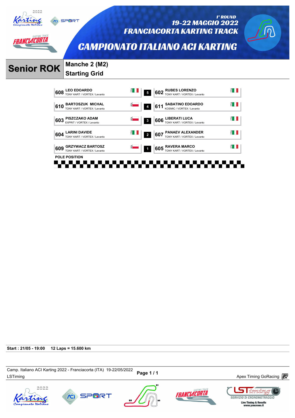

ANCLACORTA

**CO** SPORT

1° ROUND 19-22 MAGGIO 2022 **FRANCIACORTA KARTING TRACK** 



**CAMPIONATO ITALIANO ACI KARTING** 

# **Senior ROK Manche 2 (M2)**

**Starting Grid** 



**Start : 21/05 - 19:00 12 Laps = 15.600 km**

Camp. italiano ACI Naturity 2022 - FranciaCorta (11A) 19-22/00/2022 Page 1 / 1<br>LSTiming Apex Timing GoRacing  $\overline{ev}$ Camp. Italiano ACI Karting 2022 - Franciacorta (ITA) 19-22/05/2022









 $\Box$  iming **SERVIZIO DI CRONOMETRAGGIO** Live Timing & Results<br>www.youcrono.it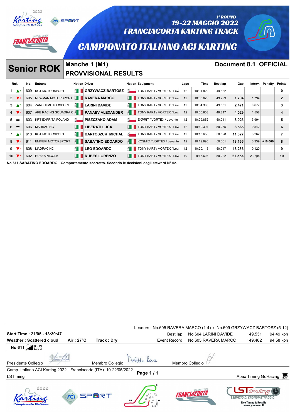

| <b>Rnk</b>                 |                 | No. | Entrant                   |                    | <b>Nation Driver</b>         |              | <b>Nation Equipment</b>                      | Laps | Time      | Best lap | Gap    | Interv. | <b>Penalty Points</b> |                |
|----------------------------|-----------------|-----|---------------------------|--------------------|------------------------------|--------------|----------------------------------------------|------|-----------|----------|--------|---------|-----------------------|----------------|
|                            | $1 \triangle 8$ | 609 | <b>KGT MOTORSPORT</b>     |                    | $\parallel$ GRZYWACZ BARTOSZ | $\vec{R}$    | TONY KART / VORTEX / Leva                    | 12   | 10:01.829 | 49.562   |        |         |                       | 0              |
| $2 \sqrt{1}$               |                 | 605 | NEWMAN MOTORSPORT         |                    | $H$ RAVERA MARCO             |              | $\frac{8}{5}$ TONY KART / VORTEX / Lev. 12   |      | 10:03.623 | 49.799   | 1.794  | 1.794   |                       | $\overline{2}$ |
| $3 \Delta^7$               |                 | 604 | <b>ZANCHI MOTORSPORT</b>  |                    | $\frac{8}{2}$ LARINI DAVIDE  |              | $\frac{8}{5}$ TONY KART / VORTEX / Leva 12   |      | 10:04.300 | 49.531   | 2.471  | 0.677   |                       | 3              |
| $4 \sqrt{2}$               |                 | 607 | APE RACING SQUADRA C E    |                    | <b>PANAEV ALEXANDER</b>      |              | $\frac{8}{5}$ TONY KART / VORTEX / Lev. 12   |      | 10:05.858 | 49.817   | 4.029  | 1.558   |                       | 4              |
| $5 =$                      |                 | 603 | <b>KRT EXPRITA POLAND</b> | $\bar{\mathbf{S}}$ | <b>PISZCZAKO ADAM</b>        | $\vec{R}$    | <b>EXPRIT / VORTEX / Levanto</b>             | 12   | 10:09.852 | 50.011   | 8.023  | 3.994   |                       | 5              |
| $6 =$                      |                 | 606 | <b>MADRACING</b>          |                    | $\mathbb{E}$ LIBERATI LUCA   |              | $\frac{8}{5}$   TONY KART / VORTEX / Lev. 12 |      | 10:10.394 | 50.235   | 8.565  | 0.542   |                       | 6              |
| $7 \triangle$ <sup>1</sup> |                 | 610 | <b>KGT MOTORSPORT</b>     | E III              | <b>BARTOSZUK MICHAL</b>      | $\vec{p}$    | TONY KART / VORTEX / Leva 12                 |      | 10:13.656 | 50.528   | 11.827 | 3.262   |                       |                |
| $8 \sqrt{1}$               |                 | 611 | <b>EMMEPI MOTORSPORT</b>  | EI II              | <b>SABATINO EDOARDO</b>      |              | $\frac{1}{2}$ KOSMIC / VORTEX / Levanto      | 12   | 10:19.995 | 50.061   | 18.166 |         | $6.339$ +10.000       | 8              |
| $9 \sqrt{s}$               |                 | 608 | <b>MADRACINC</b>          | A I                | <b>LEO EDOARDO</b>           | $\mathbf{H}$ | TONY KART / VORTEX / Leva                    | 12   | 10:20.115 | 50.017   | 18.286 | 0.120   |                       | 9              |
| $10 \sqrt{7}$              |                 | 602 | <b>RUBES NICOLA</b>       | H                  | <b>RUBES LORENZO</b>         | $H =$        | TONY KART / VORTEX / Leva                    | 10   | 9:18.608  | 50.222   | 2 Laps | 2 Laps  |                       | 10             |

**No.611 SABATINO EDOARDO : Comportamento scorretto. Secondo le decisioni degli steward N° 52.**

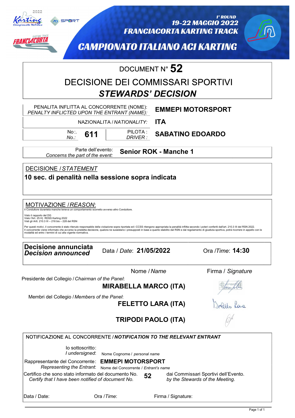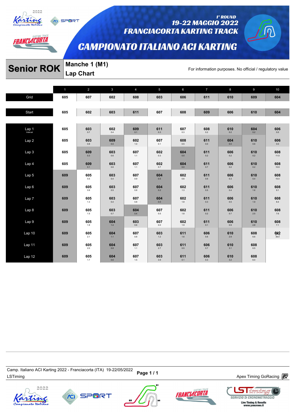

*AANCLACORTA* 

**SPORT** 

#### 1° ROUND 19-22 MAGGIO 2022 **FRANCIACORTA KARTING TRACK**

# **CAMPIONATO ITALIANO ACI KARTING**

# **Senior ROK** Manche 1 (M1)<br>For information purposes. No official / regulatory value

**Lap Chart** 

|                    | 1   | $\overline{2}$       | 3              | $\overline{4}$      | 5              | 6                                  | $\overline{7}$       | 8                                               | 9                    | 10                    |
|--------------------|-----|----------------------|----------------|---------------------|----------------|------------------------------------|----------------------|-------------------------------------------------|----------------------|-----------------------|
| Grid               | 605 | 607                  | 602            | 608                 | 603            | 606                                | 611                  | 610                                             | 609                  | 604                   |
|                    |     |                      |                |                     |                |                                    |                      |                                                 |                      |                       |
| Start              | 605 | 602                  | 603            | 611                 | 607            | 608                                | 609                  | 606                                             | 610                  | 604                   |
|                    |     |                      |                |                     |                |                                    |                      |                                                 |                      |                       |
| Lap <sub>1</sub> 1 | 605 | 603<br>$0.7\,$       | 602<br>0.4     | 609<br>0.1          | 611<br>0.3     | 607<br>0.3                         | 608<br>0.2           | 610<br>0.2                                      | 604<br>0.2           | 606<br>0.0            |
| Lap 2              | 605 | 603<br>0.8           | 609<br>$0.0\,$ | 602<br>$1.0\,$      | 607<br>0.1     | 608<br>0.5                         | 611<br>0.0           | 604<br>0.0                                      | 610<br>0.6           | 606<br>0.0            |
| Lap 3              | 605 | 609<br>0.3           | 603<br>$0.6\,$ | 607<br>1.1          | 602<br>$0.3\,$ | 604<br>$0.5\,$                     | 611<br>$0.2\,$       | 606<br>0.2                                      | 610<br>$0.2\,$       | 608<br>11.0           |
| Lap 4              | 605 | $609$ <sub>0.1</sub> | 603<br>0.6     | 607<br>1.1          | 602<br>0.7     | $604$ $_{\scriptscriptstyle{0.0}}$ | $611$ <sub>0.7</sub> | $\mathop{606}\limits_{\scriptscriptstyle{0.2}}$ | $610$ <sub>0.2</sub> | 608<br>10.9           |
| Lap 5              | 609 | 605<br>$0.5\,$       | 603<br>$0.4\,$ | 607<br>$_{\rm 0.9}$ | 604<br>0.5     | 602<br>$0.6\,$                     | 611<br>$0.6\,$       | 606<br>0.3                                      | 610<br>0.4           | 608<br>10.4           |
| Lap 6              | 609 | 605<br>$_{0.8}$      | 603<br>0.5     | 607<br>0.8          | 604<br>0.2     | 602<br>1.3                         | 611<br>0.5           | 606<br>0.4                                      | 610<br>1.6           | 608<br>9.1            |
| Lap 7              | 609 | 605<br>1.3           | 603<br>0.4     | 607<br>0.8          | 604<br>0.0     | 602<br>1.8                         | 611<br>0.3           | 606<br>0.5                                      | 610<br>1.9           | 608<br>8.4            |
| Lap 8              | 609 | 605<br>$1.5\,$       | 603<br>0.7     | 604<br>$0.4\,$      | 607<br>0.5     | 602<br>$1.8\,$                     | 611<br>0.2           | 606<br>0.7                                      | 610<br>2.5           | 608<br>7.6            |
| Lap 9              | 609 | 605<br>1.8           | 604<br>1.4     | 603<br>0.6          | 607<br>0.0     | 602<br>1.9                         | 611<br>0.1           | 606<br>0.9                                      | 610<br>2.8           | 608<br>7.1            |
| Lap <sub>10</sub>  | 609 | 605<br>2.1           | 604<br>$1.1$   | 607<br>0.8          | 603<br>$1.2\,$ | 611<br>$1.6\,$                     | 606<br>$0.6\,$       | 610<br>2.9                                      | 608<br>$6.6\,$       | $602$ <sub>39.4</sub> |
| Lap 11             | 609 | 605<br>$2.0\,$       | 604<br>$0.8\,$ | 607<br>1.1          | 603<br>2.7     | 611<br>$0.5\,$                     | 606<br>0.7           | 610<br>3.1                                      | 608<br>$6.5\,$       |                       |
| Lap 12             | 609 | 605<br>1.7           | 604<br>$0.6\,$ | 607<br>$1.5\,$      | 603<br>$3.9\,$ | 611<br>0.1                         | 606<br>$0.3\,$       | 610<br>3.2                                      | 608<br>$6.4\,$       |                       |

Camp. italiano ACi Narung 2022 - Franciacoria (דורא) וש-22 Page 1 / 1<br>LSTiming Apex Timing GoRacing *a*nd the term of the Marian Baracing and the Marian Apex Timing GoRacing and the t Camp. Italiano ACI Karting 2022 - Franciacorta (ITA) 19-22/05/2022









<u>I imriny</u>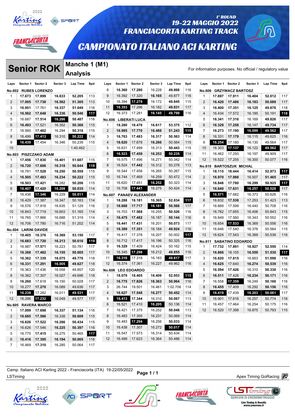



### 19-22 MAGGIO 2022 **FRANCIACORTA KARTING TRACK**

### **CAMPIONATO ITALIANO ACI KARTING**

# **Senior ROK** Manche 1 (M1)

1° ROUND

|                 |                   | <b>Senior ROK</b>           |          | Manche 1 (M1)   |     |                     |                 |                                   |          |          |     |                |        |                         |          | For information purposes. No official / regulatory value |     |
|-----------------|-------------------|-----------------------------|----------|-----------------|-----|---------------------|-----------------|-----------------------------------|----------|----------|-----|----------------|--------|-------------------------|----------|----------------------------------------------------------|-----|
|                 |                   |                             |          | <b>Analysis</b> |     |                     |                 |                                   |          |          |     |                |        |                         |          |                                                          |     |
| Laps            | Sector 1 Sector 2 |                             | Sector 3 | Lap Time        | Spd | Laps                | Sector 1        | Sector 2                          | Sector 3 | Lap Time | Spd | Laps           |        | Sector 1 Sector 2       | Sector 3 | Lap Time                                                 | Spd |
|                 |                   | <b>No.602 RUBES LORENZO</b> |          |                 |     | 8                   | 16.360          | 17.280                            | 16.228   | 49.868   | 116 | No.609         |        | <b>GRZYWACZ BARTOSZ</b> |          |                                                          |     |
| 1               | 17.673            | 17.899                      | 16.633   | 52.205          | 113 | 9                   | 16.392          | 17.320                            | 16.165   | 49.877   | 116 | $\mathbf 1$    | 17.697 | 17.911                  | 16.404   | 52.012                                                   | 117 |
| $\overline{2}$  | 17.005            | 17.738                      | 16.562   | 51.305          | 113 | 10                  | 16.394          | 17.279                            | 16.172   | 49.845   | 115 | 2              | 16.420 | 17.486                  | 16.183   | 50.089                                                   | 117 |
| 3               | 16.951            | 17.761                      | 16.337   | 51.049          | 116 | 11                  | 16.353          | 17.296                            | 16.182   | 49.831   | 117 | 3              | 16.400 | 17.351                  | 16.125   | 49.876                                                   | 118 |
| 4               | 16.562            | 17.648                      | 16.336   | 50.546          | 117 | 12                  | 16.373          | 17.281                            | 16.145   | 49.799   | 116 | $\overline{4}$ | 16.434 | 17.572                  | 16.185   | 50.191                                                   | 118 |
| 5               | 16.687            | 17.514                      | 16.286   | 50.487          | 116 | <b>No.606</b>       |                 | <b>LIBERATI LUCA</b>              |          |          |     | 5              | 16.341 | 17.316                  | 16.169   | 49.826                                                   | 117 |
| 6               | 16.493            | 17.521                      | 16.352   | 50.366          | 115 | $\overline{1}$      | 18.280          | 18.478                            | 16.617   | 53.375   | 112 | 6              | 16.329 | 17.258                  | 16.147   | 49.734                                                   | 117 |
| 7               | 16.560            | 17.462                      | 16.294   | 50.316          | 115 | $\overline{2}$      | 16.985          | 17.770                            | 16.488   | 51.243   | 115 | $\overline{7}$ | 16.273 | 17.190                  | 16.099   | 49.562                                                   | 117 |
| 8               | 16.499            | 17.413                      | 16.310   | 50.222          | 114 | 3                   | 16.763          | 17.483                            | 16.317   | 50.563   | 114 | 8              | 16.331 | 17.179                  | 16.115   | 49.625                                                   | 116 |
| 9               | 16.439            | 17.454                      | 16.346   | 50.239          | 115 | $\overline{4}$      | 16.620          | 17.678                            | 16.266   | 50.564   | 115 | 9              | 16.254 | 17.180                  | 16.130   | 49.564                                                   | 117 |
| 10              |                   |                             |          | 1:40.462        |     | 5                   | 16.631          | 17.499                            | 16.313   | 50.443   | 115 | 10             | 16.303 | 17.137                  | 16.122   | 49.562                                                   | 117 |
| No.603          |                   | <b>PISZCZAKO ADAM</b>       |          |                 |     | 6                   | 16.523          | 17.459                            | 16.253   | 50.235   | 114 | 11             | 16.462 | 17.250                  | 16.197   | 49.909                                                   | 117 |
| 1               | 17.456            | 17.830                      | 16.401   | 51.687          | 115 | $\overline{7}$      | 16.575          | 17.496                            | 16.271   | 50.342   | 114 | 12             | 16.522 | 17.255                  | 16.300   | 50.077                                                   | 116 |
| $\overline{2}$  | 16.720            | 17.606                      | 16.318   | 50.644          | 118 | 8                   | 16.524          | 17.442                            | 16.312   | 50.278   | 113 | <b>No.610</b>  |        | <b>BARTOSZUK MICHAL</b> |          |                                                          |     |
| 3               | 16.781            | 17.528                      | 16.250   | 50.559          | 115 | 9                   | 16.544          | 17.458                            | 16.265   | 50.267   | 115 | $\mathbf 1$    | 18.115 | 18.444                  | 16.414   | 52.973                                                   | 117 |
| 4               | 16.505            | 17.483                      | 16.234   | 50.222          | 115 | 10                  | 16.744          | 17.469                            | 16.259   | 50.472   | 114 | 2              | 16.970 | 17.988                  | 16.507   | 51.465                                                   | 117 |
| 5               | 16.503            | 17.421                      | 16.282   | 50.206          | 115 | 11                  | 16.620          | 17.451                            | 16.252   | 50.323   | 114 | 3              | 16.846 | 17.780                  | 16.299   | 50.925                                                   | 117 |
| 6               | 16.407            | 17.420                      | 16.208   | 50.035          | 114 | 12                  | 16.708          | 17.441                            | 16.275   | 50.424   | 114 | 4              | 16.640 | 17.631                  | 16.257   | 50.528                                                   | 117 |
| $\overline{7}$  | 16.436            | 17.346                      | 16.229   | 50.011          | 114 |                     |                 |                                   |          |          |     | 5              | 16.571 | 17.682                  | 16.373   | 50.626                                                   | 116 |
| 8               | 16.429            | 17.387                      | 16.347   | 50.163          | 114 | <b>No.607</b><br>-1 | 18.288          | <b>PANAEV ALEXANDER</b><br>18.181 | 16.365   | 52.834   | 117 | 6              | 16.632 | 17.538                  | 17.253   | 51.423                                                   | 113 |
| 9               |                   |                             |          |                 |     |                     |                 |                                   |          |          |     | $\overline{7}$ |        |                         |          | 50.708                                                   |     |
|                 | 16.576            | 17.918                      | 16.635   | 51.129          | 116 | 2<br>3              | 16.668          | 17.717                            | 16.181   | 50.566   | 117 |                | 16.669 | 17.599                  | 16.440   |                                                          | 116 |
| 10              | 16.843            | 17.719                      | 16.603   | 51.165          | 114 |                     | 16.703          | 17.568                            | 16.255   | 50.526   | 116 | 8              | 16.782 | 17.655                  | 16.406   | 50.843                                                   | 115 |
| 11              | 16.765            | 17.866                      | 16.688   | 51.319          | 114 | $\overline{4}$      | 16.475          | 17.482                            | 16.187   | 50.144   | 116 | 9              | 16.649 | 17.560                  | 16.343   | 50.552                                                   | 116 |
| 12              | 16.706            | 17.780                      | 16.716   | 51.202          | 114 | 5                   | 16.441          | 17.431                            | 16.201   | 50.073   | 117 | 10             | 16.654 | 17.533                  | 16.369   | 50.556                                                   | 116 |
| <b>No.604</b>   |                   | <b>LARINI DAVIDE</b>        |          |                 |     | 6                   | 16.389          | 17.351                            | 16.184   | 49.924   | 116 | 11             | 16.646 | 17.540                  | 16.378   | 50.564                                                   | 115 |
| 1               | 18.405            | 18.376                      | 16.369   | 53.150          | 117 | $\overline{7}$      | 16.417          | 17.378                            | 16.207   | 50.002   | 117 | 12             | 16.624 | 17.543                  | 16.369   | 50.536                                                   | 116 |
| 2               | 16.683            | 17.720                      | 16.213   | 50.616          | 119 | 8                   | 16.712          | 17.417                            | 16.196   | 50.325   | 116 | <b>No.611</b>  |        | <b>SABATINO EDOARDO</b> |          |                                                          |     |
| 3               | 16.987            | 17.571                      | 16.223   | 50.781          | 117 | 9                   | 16.329          | 17.409                            | 16.424   | 50.162   | 115 | $\mathbf 1$    | 17.732 | 17.891                  | 16.927   | 52.550                                                   | 114 |
| 4               | 16.368            | 17.482                      | 16.155   | 50.005          | 117 | 10                  | 16.345          | 17.298                            | 16.212   | 49.855   | 116 | 2              | 16.866 | 18.105                  | 16.559   | 51.530                                                   | 117 |
| 5               | 16.362            | 17.339                      | 16.075   | 49.776          | 118 | 11                  | 16.316          | 17.318                            | 16.183   | 49.817   | 117 | 3              | 16.820 | 17.615                  | 16.663   | 51.098                                                   | 116 |
| 6               | 16.331            | 17.291                      | 16.005   | 49.627          | 118 | 12                  | 16.374          | 17.361                            | 16.227   | 49.962   | 116 | $\overline{4}$ | 16.625 | 17.640                  | 16.274   | 50.539                                                   | 116 |
| $\overline{7}$  | 16.363            | 17.436                      | 16.058   | 49.857          | 120 | <b>No.608</b>       |                 | <b>LEO EDOARDO</b>                |          |          |     | 5              | 16.594 | 17.426                  | 16.310   | 50.330                                                   | 116 |
| 8               | 16.362            | 17.307                      | 16.027   | 49.696          | 118 | $\mathbf 1$         | 18.079          | 18.465                            | 16.409   | 52.953   | 115 | 6              | 16.511 | 17.426                  | 16.234   | 50.171                                                   | 116 |
| 9               | 16.260            | 17.618                      | 16.150   | 50.028          | 117 | 2                   | 16.775          | 17.826                            | 16.363   | 50.964   | 116 | $\overline{7}$ | 16.558 | 17.359                  | 16.249   | 50.166                                                   | 116 |
| 10 <sup>°</sup> | 16.277 17.270     |                             | 16.089   | 49.636          | 117 | 3                   | 26.744   19.501 |                                   | 16.461   | 1:02.706 | 114 | 8              |        | 16.455   17.409         | 16.292   | 50.156                                                   | 116 |
| 11              | 16.238 17.282     |                             | 16.011   | 49.531          | 117 | 4                   | 16.627          | 17.548                            | 16.277   | 50.452   | 114 | 9              | 16.419 | 17.439                  | 16.203   | 50.061                                                   | 117 |
| 12 <sup>2</sup> | 16.296 17.232     |                             | 16.049   | 49.577          | 117 | 5                   | 16.413 17.344   |                                   | 16.310   | 50.067   | 113 | 10             | 16.901 | 17.616                  | 16.257   | 50.774                                                   | 116 |
|                 |                   | No.605 RAVERA MARCO         |          |                 |     | 6                   | 16.521 17.410   |                                   | 16.205   | 50.136   | 114 | 11             | 16.457 | 17.464                  | 16.254   | 50.175                                                   | 116 |
| 1               | 17.099            | 17.698                      | 16.337   | 51.134          | 116 | 7                   | 16.421          | 17.375                            | 16.252   | 50.048   | 113 | 12             | 16.520 | 17.398                  | 16.875   | 50.793                                                   | 115 |
| 2               | 16.685 17.586     |                             | 16.338   | 50.609          | 115 | 8                   | 16.483          | 17.355                            | 16.231   | 50.069   | 114 |                |        |                         |          |                                                          |     |
| 3               | 16.626            | 17.522                      | 16.286   | 50.434          | 115 | 9                   | 16.483          | 17.294                            | 16.256   | 50.033   | 114 |                |        |                         |          |                                                          |     |
| 4               | 16.626            | 17.546                      | 16.225   | 50.397          | 116 | 10                  | 16.438          | 17.307                            | 16.272   | 50.017   | 114 |                |        |                         |          |                                                          |     |
| 5               | 16.775            | 17.415                      | 16.275   | 50.465          | 117 | 11                  | 16.547          | 17.573                            | 16.314   | 50.434   | 114 |                |        |                         |          |                                                          |     |
| 6               | 16.416            | 17.395                      | 16.194   | 50.005          | 116 | 12                  | 16.499          | 17.623                            | 16.364   | 50.486   | 114 |                |        |                         |          |                                                          |     |
| 7               | 16.469            | 17.310                      | 16.285   | 50.064          | 117 |                     |                 |                                   |          |          |     |                |        |                         |          |                                                          |     |

Camp. italiano ACi Narung 2022 - Franciacoria (דורא) וש-22 Page 1 / 1<br>LSTiming Apex Timing GoRacing *a*nd the term of the Marian Baracing and the Marian Apex Timing GoRacing and the t Camp. Italiano ACI Karting 2022 - Franciacorta (ITA) 19-22/05/2022







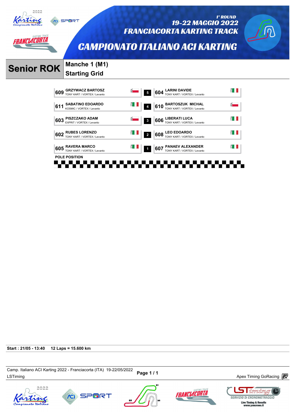

**CO** SPORT

1° ROUND 19-22 MAGGIO 2022 **FRANCIACORTA KARTING TRACK** 

## **CAMPIONATO ITALIANO ACI KARTING**



# **Senior ROK Manche 1 (M1)**





**Start : 21/05 - 13:40 12 Laps = 15.600 km**

Camp. nanano ACI Naning 2022 - Franciacona (11A) العديد Page 1 / 1 Magnetic Memorial Apex Timing GoRacing  $\overline{\mathbb{CP}}$ Camp. Italiano ACI Karting 2022 - Franciacorta (ITA) 19-22/05/2022









 $\Box$  iming **SERVIZIO DI CRONOMETRAGGIO** Live Timing & Results<br>www.youcrono.it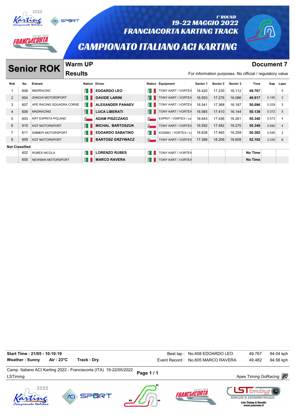

#### 1° ROUND 19-22 MAGGIO 2022 **FRANCIACORTA KARTING TRACK**

### **CAMPIONATO ITALIANO ACI KARTING**

**Senior ROK Warm UP Document 7 Document 7** 

NCLACORTA

**Warm UP Results** 

| No.                   | Entrant               |                   |                                                                                                                                               |                                                                                                                      |                           | Sector 1                                |        | Sector 3 | Time           |       | Laps                                                                                 |
|-----------------------|-----------------------|-------------------|-----------------------------------------------------------------------------------------------------------------------------------------------|----------------------------------------------------------------------------------------------------------------------|---------------------------|-----------------------------------------|--------|----------|----------------|-------|--------------------------------------------------------------------------------------|
| 608                   | <b>MADRACINC</b>      |                   | <b>EDOARDO LEO</b>                                                                                                                            |                                                                                                                      | <b>TONY KART / VORTEX</b> | 16.420                                  | 17.235 | 16.112   | 49.767         |       | 5                                                                                    |
| 604                   |                       |                   | <b>DAVIDE LARINI</b>                                                                                                                          | E                                                                                                                    | TONY KART / VORTEX        | 16.553                                  | 17.278 | 16.086   | 49.917         | 0.150 | 2                                                                                    |
| 607                   |                       |                   | <b>ALEXANDER PANAEV</b>                                                                                                                       | Ê III                                                                                                                | TONY KART / VORTEX        | 16.541                                  | 17.368 | 16.187   | 50.096         | 0.329 | 3                                                                                    |
| 606                   | <b>MADRACING</b>      |                   | <b>LUCA LIBERATI</b>                                                                                                                          | É I                                                                                                                  | TONY KART / VORTEX        | 16.585                                  | 17.410 | 16.144   | 50.139         | 0.372 | 5                                                                                    |
| 603                   |                       |                   | <b>ADAM PISZCZAKO</b>                                                                                                                         | $\vec{a}$                                                                                                            | EXPRIT / VORTEX / Le      | 16.643                                  | 17.436 | 16.261   | 50.340         | 0.573 | $\overline{4}$                                                                       |
| 610                   | <b>KGT MOTORSPORT</b> |                   | <b>MICHAL BARTOSZUK</b>                                                                                                                       | $\vec{a}$                                                                                                            | TONY KART / VORTEX        | 16.592                                  | 17.482 | 16.275   | 50.349         | 0.582 | $\overline{4}$                                                                       |
| 611                   |                       |                   | <b>EDOARDO SABATINO</b>                                                                                                                       | E I                                                                                                                  | KOSMIC / VORTEX / Le      | 16.638                                  | 17.465 | 16.259   | 50.362         | 0.595 | 3                                                                                    |
| 609                   | <b>KGT MOTORSPORT</b> |                   | <b>BARTOSZ GRZYWACZ</b>                                                                                                                       | $\vec{a}$                                                                                                            | TONY KART / VORTEX        | 17.288                                  | 18.206 | 16.608   | 52.102         | 2.335 | 6                                                                                    |
| <b>Not Classified</b> |                       |                   |                                                                                                                                               |                                                                                                                      |                           |                                         |        |          |                |       |                                                                                      |
| 602                   | <b>RUBES NICOLA</b>   |                   | <b>LORENZO RUBES</b>                                                                                                                          | ÉП                                                                                                                   | TONY KART / VORTEX        |                                         |        |          | No Time        |       |                                                                                      |
| 605                   |                       |                   | <b>MARCO RAVERA</b>                                                                                                                           | ÉН                                                                                                                   | TONY KART / VORTEX        |                                         |        |          | <b>No Time</b> |       |                                                                                      |
|                       |                       | <b>Senior ROK</b> | <b>Results</b><br>ZANCHI MOTORSPORT<br>APE RACING SQUADRA CORSE<br><b>KRT EXPRITA POLAND</b><br><b>EMMEPI MOTORSPORT</b><br>NEWMAN MOTORSPORT | <b>WAIII UF</b><br><b>Nation Driver</b><br>Ê II<br>É I<br>Ê II<br>É I<br><u>ੱਖ</u><br>E I<br>ÉП<br>É I<br>É I<br>É I |                           | <b>Nation Equipment</b><br>$\mathbf{H}$ |        |          | Sector 2       |       | <b>DUGUILGIIL</b><br>For information purposes. No official / regulatory value<br>Gap |

Camp. italiano ACI Narung 2022 - Franciacoria (FIA) +9-220072022 Page 1 / 1<br>LSTiming Apex Timing GoRacing *in* Camp. Italiano ACI Karting 2022 - Franciacorta (ITA) 19-22/05/2022 **Start Time : 21/05 - 10:10:19** No.608 EDOARDO LEO 49.767 94.04 kph Weather : Sunny Air : 23°C Track : Dry **Executed Strategier Contract Contract Contract Contract Act Act Act Act A**<br>Event Record : No.605 MARCO RAVERA 49.482 94.58 kph









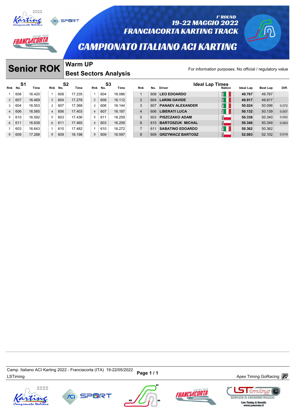

*ANCLACORTA* 

# SPORT

### 1° ROUND 19-22 MAGGIO 2022 **FRANCIACORTA KARTING TRACK**

## **CAMPIONATO ITALIANO ACI KARTING**

# **Senior ROK** Warm UP

### **Warm UP Best Sectors Analysis**

|                |     | <b>Senior ROK</b> |                |         | <b>Warm UP</b>               |                |                       |            |                |     |                                                          |               |           |                 |       |
|----------------|-----|-------------------|----------------|---------|------------------------------|----------------|-----------------------|------------|----------------|-----|----------------------------------------------------------|---------------|-----------|-----------------|-------|
|                |     |                   |                |         | <b>Best Sectors Analysis</b> |                |                       |            |                |     | For information purposes. No official / regulatory value |               |           |                 |       |
| Rnk No.        | S1  | Time              |                | Rnk No. | S <sub>2</sub><br>Time       |                | Rnk No.               | S3<br>Time | Rnk            | No. | <b>Ideal Lap Times</b><br>Driver                         | <b>Nation</b> | Ideal Lap | <b>Best Lap</b> | Diff. |
|                | 608 | 16.420            |                | 608     | 17.235                       |                | 604<br>$\mathbf{1}$   | 16.086     | $\mathbf{1}$   | 608 | <b>LEO EDOARDO</b>                                       | $H_{\rm H}$   | 49.767    | 49.767          |       |
| $\overline{2}$ | 607 | 16.469            | 2              | 604     | 17.278                       |                | $\overline{2}$<br>608 | 16.112     | $\overline{2}$ | 604 | <b>LARINI DAVIDE</b>                                     | $H^4$         | 49.917    | 49.917          |       |
| 3              | 604 | 16.553            | 3              | 607     | 17.368                       |                | 606<br>3              | 16.144     | 3              | 607 | <b>PANAEV ALEXANDER</b>                                  | $H_{\rm H}$   | 50.024    | 50.096          | 0.072 |
| $\overline{4}$ | 606 | 16.585            | $\overline{4}$ | 606     | 17.403                       |                | 607<br>$\overline{4}$ | 16.187     | $\overline{4}$ | 606 | <b>LIBERATI LUCA</b>                                     | $H_{\rm II}$  | 50.132    | 50.139          | 0.007 |
| 5              | 610 | 16.592            | 5              | 603     | 17.436                       |                | 611<br>5              | 16.259     | 5              | 603 | <b>PISZCZAKO ADAM</b>                                    | $\bar{S}$     | 50.338    | 50.340          | 0.002 |
| 6              | 611 | 16.638            | 6              | 611     | 17.465                       |                | 603<br>5              | 16.259     | 6              | 610 | <b>BARTOSZUK MICHAL</b>                                  | <u>ನ–</u>     | 50.346    | 50.349          | 0.003 |
|                | 603 | 16.643            |                | 610     | 17.482                       | $\overline{7}$ | 610                   | 16.272     | $\overline{7}$ | 611 | <b>SABATINO EDOARDO</b>                                  | $H_{\rm H}$   | 50.362    | 50.362          |       |
| 8              | 609 | 17.288            | 8              | 609     | 18.198                       |                | 609<br>8              | 16.597     | 8              | 609 | <b>GRZYWACZ BARTOSZ</b>                                  | $\mathbb{R}$  | 52.083    | 52.102          | 0.019 |
|                |     |                   |                |         |                              |                |                       |            |                |     |                                                          |               |           |                 |       |

Camp. italiano ACI Narung 2022 - Franciacoria (דורא ישראב בער באט בארצון Page 1 / 1<br>LSTiming Apex Timing GoRacing *a*nd the terminal services and the terminal services are terminal services and te Camp. Italiano ACI Karting 2022 - Franciacorta (ITA) 19-22/05/2022







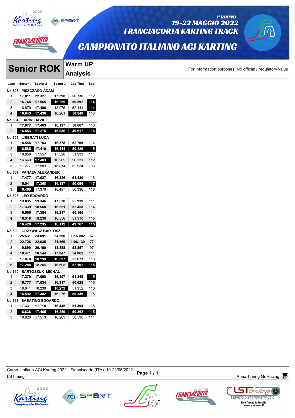

**CO** SPORT

**Warm UP**

# RANCLACORTA

**Senior ROK** 

#### 1° ROUND 19-22 MAGGIO 2022 **FRANCIACORTA KARTING TRACK**

## **CAMPIONATO ITALIANO ACI KARTING**

For information purposes. No official / regulatory value

|                |          |                         |          | <b>Analysis</b> |     |
|----------------|----------|-------------------------|----------|-----------------|-----|
| Laps           | Sector 1 | Sector 2                | Sector 3 | Lap Time        | Spd |
| No.603         |          | <b>PISZCZAKO ADAM</b>   |          |                 |     |
| 1              | 17.011   | 22.327                  | 17.398   | 56.736          | 112 |
| $\overline{2}$ | 16.768   | 17.565                  | 16.259   | 50.592          | 114 |
| 3              | 16.879   | 17.486                  | 18.076   | 52.441          | 114 |
| $\overline{4}$ | 16.643   | 17.436                  | 16.261   | 50.340          | 113 |
| No.604         |          | <b>LARINI DAVIDE</b>    |          |                 |     |
| 1              | 17.077   | 17.463                  | 16.127   | 50.667          | 116 |
| 2              | 16.553   | 17.278                  | 16.086   | 49.917          | 116 |
| No.606         |          | <b>LIBERATI LUCA</b>    |          |                 |     |
| 1              | 18.548   | 17.783                  | 16.378   | 52.709          | 114 |
| 2              | 16.585   | 17.410                  | 16.144   | 50.139          | 115 |
| 3              | 16.856   | 17.557                  | 17.520   | 51.933          | 114 |
| $\overline{4}$ | 16.643   | 17.403                  | 16.285   | 50.331          | 112 |
| 5              | 17.277   | 17.583                  | 18.074   | 52.934          | 103 |
|                |          | No.607 PANAEV ALEXANDER |          |                 |     |
| 1              | 17.477   | 17.627                  | 16.326   | 51.430          | 116 |
| 2              | 16.541   | 17.368                  | 16.187   | 50.096          | 117 |
| 3              | 16.469   | 17.370                  | 16.497   | 50.336          | 116 |
| No.608         |          | <b>LEO EDOARDO</b>      |          |                 |     |
| 1              | 19.035   | 19.346                  | 17.538   | 55.919          | 111 |
| 2              | 17.339   | 18.568                  | 16.551   | 52.458          | 114 |
| 3              | 16.565   | 17.384                  | 16.217   | 50.166          | 114 |
| $\overline{4}$ | 16.518   | 18.236                  | 16.556   | 51.310          | 115 |
| 5              | 16.420   | 17.235                  | 16.112   | 49.767          | 115 |
| No.609         |          | <b>GRZYWACZ BARTOSZ</b> |          |                 |     |
| 1              | 25.531   | 24.891                  | 24.580   | 1:15.002        | 67  |
| 2              | 22.726   | 22.035                  | 21.369   | 1:06.130        | 77  |
| 3              | 19.899   | 20.100                  | 18.858   | 58.857          | 97  |
| $\overline{4}$ | 18.471   | 18.544                  | 17.047   | 54.062          | 111 |
| 5              | 17.878   | 18.198                  | 16.597   | 52.673          | 113 |
| 6              | 17.288   | 18.206                  | 16.608   | 52.102          | 115 |
|                |          | No.610 BARTOSZUK MICHAL |          |                 |     |
| 1              | 17.270   | 17.668                  | 16.407   | 51.345          | 115 |
| $\overline{2}$ | 16.777   | 17.534                  | 16.317   | 50.628          | 115 |
| 3              | 16.841   | 18.239                  | 16.272   | 51.352          | 116 |
| $\overline{4}$ | 16.592   | 17.482                  | 16.275   | 50.349          | 115 |
| No.611         |          | <b>SABATINO EDOARDO</b> |          |                 |     |
| 1              | 17.331   | 17.718                  | 16.445   | 51.494          | 115 |
| 2              | 16.638   | 17.465                  | 16.259   | 50.362          | 115 |
| 3              | 16.820   | 17.513                  | 16.263   | 50.596          | 114 |

Camp. italiano ACi Narung 2022 - Franciacoria (דורא) וש-22 Page 1 / 1<br>LSTiming Apex Timing GoRacing *a*nd the term of the Marian Baracing and the Marian Apex Timing GoRacing and the t Camp. Italiano ACI Karting 2022 - Franciacorta (ITA) 19-22/05/2022







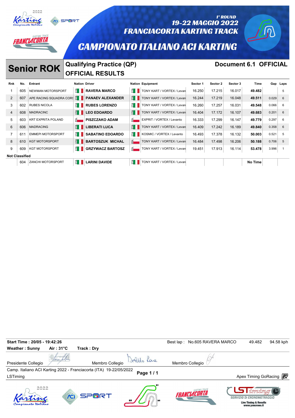

3 602 RUBES NICOLA **RUBES LORENZO RUBES LORENZO RESERVAL EXECUTA 16.260** 17.257 16.031 49.548 0.066 6 608 MADRACINC **LEO EDOARDO** TONY KART / VORTEX / Levanto 16.404 17.172 16.107 **49.683** 0.201 6 603 KRT EXPRITA POLAND **PISZCZAKO ADAM** EXPRIT / VORTEX / Levanto 16.333 17.299 16.147 **49.779** 0.297 6 606 MADRACING **LIBERATI LUCA** TONY KART / VORTEX / Levanto 16.409 17.242 16.189 **49.840** 0.358 6 611 EMMEPI MOTORSPORT **SABATINO EDOARDO** KOSMIC / VORTEX / Levanto 16.493 17.378 16.132 **50.003** 0.521 5 8 610 KGT MOTORSPORT **BARTOSZUK MICHAL BARTOSZUK MICHAL** TONY KART / VORTEX / Levan 16.484 17.498 16.206 50.188 0.706 5 609 KGT MOTORSPORT **GRZYWACZ BARTOSZ** TONY KART / VORTEX / Levanto 19.451 17.913 16.114 **53.478** 3.996 1

**604 ZANCHI MOTORSPORT <b>LARINI DAVIDE LARINI DAVIDE REFERENCE** TONY KART / VORTEX / Levan

**Not Classified**

| Start Time: 20/05 - 19:42:26 |                     |                                                                    |          | Best lap: No.605 RAVERA MARCO | 94.58 kph<br>49.482                                                                          |
|------------------------------|---------------------|--------------------------------------------------------------------|----------|-------------------------------|----------------------------------------------------------------------------------------------|
| <b>Weather: Sunny</b>        | Air: $31^{\circ}$ C | Track: Dry                                                         |          |                               |                                                                                              |
| Presidente Collegio          |                     | Membro Collegio                                                    |          | Membro Collegio               |                                                                                              |
| LSTiming                     |                     | Camp. Italiano ACI Karting 2022 - Franciacorta (ITA) 19-22/05/2022 | Page 1/1 |                               | Apex Timing GoRacing <b>段</b>                                                                |
| 2022                         |                     | SPMRT                                                              |          | <b>FRANCIACORTA</b>           | Timpina<br>SERVIZIO DI CRONOMETRAGGIO<br><b>Live Timing &amp; Results</b><br>www.youcrono.it |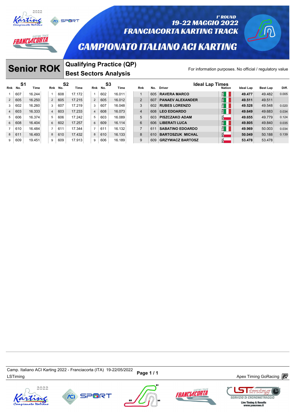

### 19-22 MAGGIO 2022 **FRANCIACORTA KARTING TRACK**

# **CAMPIONATO ITALIANO ACI KARTING**

*IANCLACORTA* 

### **Senior ROK** Qualifying Practice (QP)<br>For information purposes. No official / regulatory value **Best Sectors Analysis**

1° ROUND

|         |     | <b>Senior ROK</b> |                |         |                        | <b>Qualifying Practice (QP)</b><br>For information purposes. No official / regulatory value<br><b>Best Sectors Analysis</b> |           |        |  |                |     |                                  |               |           |                 |       |
|---------|-----|-------------------|----------------|---------|------------------------|-----------------------------------------------------------------------------------------------------------------------------|-----------|--------|--|----------------|-----|----------------------------------|---------------|-----------|-----------------|-------|
| Rnk No. | S1  | Time              |                | Rnk No. | S <sub>2</sub><br>Time | Rnk                                                                                                                         | S3<br>No. | Time   |  | <b>Rnk</b>     | No. | <b>Ideal Lap Times</b><br>Driver | <b>Nation</b> | Ideal Lap | <b>Best Lap</b> | Diff. |
|         | 607 | 16.244            |                | 608     | 17.172                 | $\mathbf{1}$                                                                                                                | 602       | 16.011 |  | 1              | 605 | <b>RAVERA MARCO</b>              | ETA           | 49.477    | 49.482          | 0.005 |
| 2       | 605 | 16.250            | 2              | 605     | 17.215                 | $\overline{2}$                                                                                                              | 605       | 16.012 |  | 2              | 607 | <b>PANAEV ALEXANDER</b>          | EII           | 49.511    | 49.511          |       |
| 3       | 602 | 16.260            | 3              | 607     | 17.219                 | 3                                                                                                                           | 607       | 16.048 |  | 3              | 602 | <b>RUBES LORENZO</b>             | E             | 49.528    | 49.548          | 0.020 |
| 4       | 603 | 16.333            | $\overline{4}$ | 603     | 17.233                 | $\overline{4}$                                                                                                              | 608       | 16.073 |  | $\overline{4}$ | 608 | <b>LEO EDOARDO</b>               | EI            | 49.649    | 49.683          | 0.034 |
| 5       | 606 | 16.374            | 5              | 606     | 17.242                 | 5                                                                                                                           | 603       | 16.089 |  | 5              | 603 | <b>PISZCZAKO ADAM</b>            | 핢             | 49.655    | 49.779          | 0.124 |
| 6       | 608 | 16.404            | 6              | 602     | 17.257                 | 6                                                                                                                           | 609       | 16.114 |  | 6              | 606 | <b>LIBERATI LUCA</b>             | EI            | 49.805    | 49.840          | 0.035 |
|         | 610 | 16.484            | $\overline{7}$ | 611     | 17.344                 | $\overline{7}$                                                                                                              | 611       | 16.132 |  | $\overline{7}$ | 611 | <b>SABATINO EDOARDO</b>          | $\mathbb{E}$  | 49.969    | 50.003          | 0.034 |
| 8       | 611 | 16.493            | 8              | 610     | 17.432                 | 8                                                                                                                           | 610       | 16.133 |  | 8              | 610 | <b>BARTOSZUK MICHAL</b>          | ā-            | 50.049    | 50.188          | 0.139 |
| 9       | 609 | 19.451            | 9              | 609     | 17.913                 | 9                                                                                                                           | 606       | 16.189 |  | 9              | 609 | <b>GRZYWACZ BARTOSZ</b>          | 힊             | 53.478    | 53.478          |       |

Camp. italiano ACI Karting 2022 - Franciacoria (++A) +9-22/05/2022 **Page 1 / 1**<br>LSTiming Apex Timing GoRacing *a*nd a later the second term of the second term of the second and the second and t Camp. Italiano ACI Karting 2022 - Franciacorta (ITA) 19-22/05/2022









imin **SERVIZIO DI CRONOMETRAGGIO**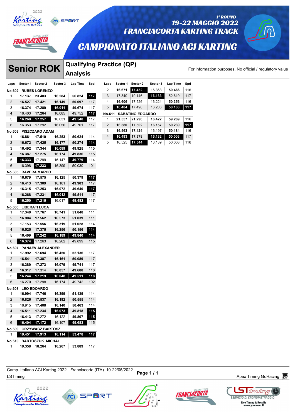



#### 1° ROUND 19-22 MAGGIO 2022 **FRANCIACORTA KARTING TRACK**

# **CAMPIONATO ITALIANO ACI KARTING**

 **16.671 17.432** 16.363 **50.466** 116 17.340 19.146 **16.133** 52.619 117 **16.606** 17.526 16.224 **50.356** 116 **16.484** 17.498 16.206 **50.188 117**

 **21.557 21.290 16.422 59.269** 116 **16.580 17.502 16.157 50.239 117 16.563 17.424** 16.197 **50.184** 116 **16.493 17.378 16.132 50.003** 117 16.525 **17.344** 16.139 50.008 116

**No.611 SABATINO EDOARDO**

ANCLACORTA

# **Qualifying Practice (QP)**<br>For information purposes. No official / regulatory value **Laps Sector 1 Sector 2 Sector 3 Lap Time Spd**<br> **Laps Sector 1 Sector 2 Sector 3 Lap Time Spd**<br>  $\begin{bmatrix} 0 & 1 & 0 & 0 & 0 \\ 0 & 0 & 0 & 0 & 0 \\ 0 & 0 & 0 & 0 & 0 \\ 0 & 0 & 0 & 0 & 0 \\ 0 & 0 & 0 & 0 & 0 \\ 0 & 0 & 0 & 0 & 0 \\ 0 & 0 & 0 & 0 & 0 \\ 0 & 0 & 0 & 0 & 0$

|                |          | <b>Senior ROK</b>       |          | Qualifying Pract |     |      |
|----------------|----------|-------------------------|----------|------------------|-----|------|
|                |          |                         |          | <b>Analysis</b>  |     |      |
| Laps           | Sector 1 | Sector 2                | Sector 3 | Lap Time         | Spd | Laps |
| No.602         |          | <b>RUBES LORENZO</b>    |          |                  |     | 2    |
| 1              | 17.137   | 23.403                  | 16.284   | 56.824           | 117 | 3    |
| 2              | 16.527   | 17.421                  | 16.149   | 50.097           | 117 | 4    |
| 3              | 16.374   | 17.289                  | 16.011   | 49.674           | 117 | 5    |
| 4              | 16.403   | 17.264                  | 16.085   | 49.752           | 117 | No.6 |
| 5              | 16.260   | 17.257                  | 16.031   | 49.548           | 117 | 1    |
| 6              | 16.353   | 17.292                  | 16.056   | 49.701           | 117 | 2    |
| No.603         |          | PISZCZAKO ADAM          |          |                  |     | 3    |
| 1              | 16.861   | 17.510                  | 16.253   | 50.624           | 114 | 4    |
| 2              | 16.672   | 17.425                  | 16.177   | 50.274           | 114 | 5    |
| 3              | 16.492   | 17.344                  | 16.089   | 49.925           | 115 |      |
| 4              | 16.387   | 17.275                  | 16.174   | 49.836           | 115 |      |
| 5              | 16.333   | 17.299                  | 16.147   | 49.779           | 114 |      |
| 6              | 16.398   | 17.233                  | 16.399   | 50.030           | 101 |      |
| No.605         |          | <b>RAVERA MARCO</b>     |          |                  |     |      |
| 1              | 16.679   | 17.575                  | 16.125   | 50.379           | 117 |      |
| 2              | 16.413   | 17.309                  | 16.181   | 49.903           | 117 |      |
| 3              | 16.315   | 17.253                  | 16.072   | 49.640           | 117 |      |
| 4              | 16.268   | 17.231                  | 16.012   | 49.511           | 117 |      |
| 5              | 16.250   | 17.215                  | 16.017   | 49.482           | 117 |      |
| No.606         |          | <b>LIBERATI LUCA</b>    |          |                  |     |      |
| 1              | 17.340   | 17.767                  | 16.741   | 51.848           | 111 |      |
| 2              | 16.904   | 17.562                  | 16.573   | 51.039           | 111 |      |
| 3              | 17.153   | 17.556                  | 16.319   | 51.028           | 114 |      |
| $\overline{4}$ | 16.525   | 17.375                  | 16.256   | 50.156           | 114 |      |
| 5              | 16.409   | 17.242                  | 16.189   | 49.840           | 114 |      |
| 6              | 16.374   | 17.263                  | 16.262   | 49.899           | 115 |      |
| No.607         |          | <b>PANAEV ALEXANDER</b> |          |                  |     |      |
| 1              | 17.992   | 17.694                  | 16.450   | 52.136           | 117 |      |
| 2              | 16.541   | 17.387                  | 16.161   | 50.089           | 117 |      |
| 3              | 16.389   | 17.273                  | 16.079   | 49.741           | 117 |      |
| 4              | 16.317   | 17.314                  | 16.057   | 49.688           | 118 |      |
| 5              | 16.244   | 17.219                  | 16.048   | 49.511           | 118 |      |
| 6              | 16.270   | 17.298                  | 16.174   | 49.742           | 102 |      |
| No.608         |          | <b>LEO EDOARDO</b>      |          |                  |     |      |
| 1              | 16.994   | 17.746                  | 16.399   | 51.139           | 114 |      |
| 2              | 16.826   | 17.537                  | 16.192   | 50.555           | 114 |      |
| 3              | 16.915   | 17.408                  | 16.140   | 50.463           | 114 |      |
| 4              | 16.511   | 17.234                  | 16.073   | 49.818           | 115 |      |
| 5              | 16.413   | 17.272                  | 16.122   | 49.807           | 115 |      |
| 6              | 16.404   | 17.172                  | 16.107   | 49.683           | 115 |      |
| No.609         |          | <b>GRZYWACZ BARTOSZ</b> |          |                  |     |      |
| 1              | 19.451   | 17.913                  | 16.114   | 53.478           | 117 |      |
| No.610         |          | <b>BARTOSZUK MICHAL</b> |          |                  |     |      |
| 1              | 19.358   | 18.264                  | 16.267   | 53.889           | 117 |      |

Camp. nanano ACI Naning 2022 - Franciacona (TTA) 19-22/09/2022 Page 1 / 1<br>LSTiming Apex Timing GoRacing *n* Camp. Italiano ACI Karting 2022 - Franciacorta (ITA) 19-22/05/2022







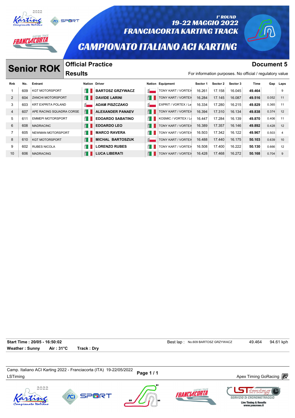



#### 1° ROUND 19-22 MAGGIO 2022 **FRANCIACORTA KARTING TRACK**

## **CAMPIONATO ITALIANO ACI KARTING**

# **Senior ROK Official Practice Document 5 Document 5**

*VELACORTA* 

### **Official Practice Results**

|     |                       | <b>Results</b>          |                                                                                                                                    |                                           |                      |                  |          |          |        |       |                                                                                |
|-----|-----------------------|-------------------------|------------------------------------------------------------------------------------------------------------------------------------|-------------------------------------------|----------------------|------------------|----------|----------|--------|-------|--------------------------------------------------------------------------------|
| No. | Entrant               |                         |                                                                                                                                    |                                           |                      | Sector 1         | Sector 2 | Sector 3 | Time   |       | Gap Laps                                                                       |
| 609 | <b>KGT MOTORSPORT</b> | ĔΠ                      | <b>BARTOSZ GRZYWACZ</b>                                                                                                            | <u>ដ្ដី = </u>                            | TONY KART / VORTEX   | 16.261           | 17.158   | 16.045   | 49.464 |       | 9                                                                              |
| 604 |                       | E I                     | <b>DAVIDE LARINI</b>                                                                                                               | H                                         | TONY KART / VORTEX   | 16.284           | 17.145   | 16.087   | 49.516 | 0.052 | 11                                                                             |
| 603 |                       | $\overline{\mathbf{S}}$ | <b>ADAM PISZCZAKO</b>                                                                                                              | $\overline{\mathbf{S}}$                   | EXPRIT / VORTEX / Le | 16.334           | 17.280   | 16.215   | 49.829 | 0.365 | 11                                                                             |
| 607 |                       | E I                     | <b>ALEXANDER PANAEV</b>                                                                                                            | E I                                       | TONY KART / VORTEX   | 16.394           | 17.310   | 16.134   | 49.838 | 0.374 | 12                                                                             |
| 61' |                       | É I                     | <b>EDOARDO SABATINO</b>                                                                                                            | E I                                       | KOSMIC / VORTEX / Le | 16.447           | 17.284   | 16.139   | 49.870 | 0.406 | 11                                                                             |
| 608 | <b>MADRACINC</b>      | E I                     | <b>EDOARDO LEO</b>                                                                                                                 | E I                                       | TONY KART / VORTEX   | 16.389           | 17.357   | 16.146   | 49.892 | 0.428 | 12                                                                             |
| 605 |                       | ÉП                      | <b>MARCO RAVERA</b>                                                                                                                | ÉП                                        | TONY KART / VORTEX   | 16.503           | 17.342   | 16.122   | 49.967 | 0.503 | 4                                                                              |
| 610 | <b>KGT MOTORSPORT</b> | E I                     | <b>MICHAL BARTOSZUK</b>                                                                                                            | $\overline{8}$                            | TONY KART / VORTEX   | 16.488           | 17.440   | 16.175   | 50.103 | 0.639 | 10                                                                             |
| 602 | <b>RUBES NICOLA</b>   | ÉП                      | <b>LORENZO RUBES</b>                                                                                                               | É I                                       | TONY KART / VORTEX   | 16.508           | 17.400   | 16.222   | 50.130 | 0.666 | 12                                                                             |
| 606 | <b>MADRACING</b>      | E I                     | <b>LUCA LIBERATI</b>                                                                                                               | E I                                       | TONY KART / VORTEX   | 16.428           | 17.468   | 16.272   | 50.168 | 0.704 | 9                                                                              |
|     |                       | <b>Senior ROK</b>       | <b>ZANCHI MOTORSPORT</b><br><b>KRT EXPRITA POLAND</b><br>APE RACING SQUADRA CORSE<br><b>EMMEPI MOTORSPORT</b><br>NEWMAN MOTORSPORT | UIIIUIAI FIAULIUU<br><b>Nation Driver</b> |                      | Nation Equipment |          |          |        |       | <b>DOGHIIGHL</b> J<br>For information purposes. No official / regulatory value |

**Start Time : 20/05 - 16:50:02 Best lap : No.609 BARTOSZ GRZYWACZ** 49.464 94.61 kph **Weather : Sunny Air : 31°C Track : Dry**

Camp. italiano ACI Narung 2022 - Franciacoria (דורא ישראב בער באט בארצון Page 1 / 1<br>LSTiming Apex Timing GoRacing *a*nd the terminal services and the terminal services are terminal services and te Camp. Italiano ACI Karting 2022 - Franciacorta (ITA) 19-22/05/2022









imin **SERVIZIO DI CRONOMETRAGGIO** Live Timing & Results<br>www.youcrono.it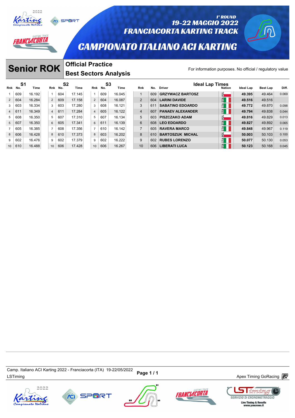

*ANCLACORTA* 



#### 1° ROUND 19-22 MAGGIO 2022 **FRANCIACORTA KARTING TRACK**

## **CAMPIONATO ITALIANO ACI KARTING**

#### **Senior ROK Official Practice**<br>For information purposes. No official / regulatory value **Official Practice Best Sectors Analysis**

| <b>Official Practice</b><br><b>Senior ROK</b><br><b>Best Sectors Analysis</b> |     |        |  |                |         |                        |  |                |           |        |                |     | For information purposes. No official / regulatory value |                |                  |                 |       |
|-------------------------------------------------------------------------------|-----|--------|--|----------------|---------|------------------------|--|----------------|-----------|--------|----------------|-----|----------------------------------------------------------|----------------|------------------|-----------------|-------|
| Rnk No.                                                                       | S1  | Time   |  |                | Rnk No. | S <sub>2</sub><br>Time |  | Rnk            | S3<br>No. | Time   | <b>Rnk</b>     | No. | <b>Ideal Lap Times</b><br><b>Driver</b>                  | <b>Nation</b>  | <b>Ideal Lap</b> | <b>Best Lap</b> | Diff. |
|                                                                               | 609 | 16.192 |  |                | 604     | 17.145                 |  | $\mathbf{1}$   | 609       | 16.045 | $\overline{1}$ | 609 | <b>GRZYWACZ BARTOSZ</b>                                  | $\bar{a}$      | 49.395           | 49.464          | 0.069 |
| $\overline{2}$                                                                | 604 | 16.284 |  | 2              | 609     | 17.158                 |  | $\overline{2}$ | 604       | 16.087 | $\overline{2}$ | 604 | <b>LARINI DAVIDE</b>                                     | $H_{\rm H}$    | 49.516           | 49.516          |       |
| 3                                                                             | 603 | 16.334 |  | 3              | 603     | 17.280                 |  | 3              | 608       | 16.121 | 3              | 611 | <b>SABATINO EDOARDO</b>                                  | $H_{\rm II}$   | 49.772           | 49.870          | 0.098 |
| $\overline{4}$                                                                | 611 | 16.349 |  | $\overline{4}$ | 611     | 17.284                 |  | $\overline{4}$ | 605       | 16.122 | $\overline{4}$ | 607 | <b>PANAEV ALEXANDER</b>                                  | $H^4$          | 49.794           | 49.838          | 0.044 |
| 5                                                                             | 608 | 16.350 |  | 5              | 607     | 17.310                 |  | 5              | 607       | 16.134 | 5              | 603 | <b>PISZCZAKO ADAM</b>                                    | 힒.             | 49.816           | 49.829          | 0.013 |
| 5 <sup>5</sup>                                                                | 607 | 16.350 |  | 6              | 605     | 17.341                 |  | 6              | 611       | 16.139 | 6              | 608 | <b>LEO EDOARDO</b>                                       | $\frac{1}{2}$  | 49.827           | 49.892          | 0.065 |
|                                                                               | 605 | 16.385 |  | $\overline{7}$ | 608     | 17.356                 |  | $\overline{7}$ | 610       | 16.142 | $\overline{7}$ | 605 | <b>RAVERA MARCO</b>                                      | $H_{\rm H}$    | 49.848           | 49.967          | 0.119 |
| 8                                                                             | 606 | 16.428 |  | 8              | 610     | 17.373                 |  | 8              | 603       | 16.202 | 8              | 610 | <b>BARTOSZUK MICHAL</b>                                  | <u>하</u>       | 50.003           | 50.103          | 0.100 |
| 9                                                                             | 602 | 16.476 |  | 9              | 602     | 17.379                 |  | 9              | 602       | 16.222 | 9              | 602 | <b>RUBES LORENZO</b>                                     | $H_{\rm H}$    | 50.077           | 50.130          | 0.053 |
| 10                                                                            | 610 | 16.488 |  | 10             | 606     | 17.428                 |  | 10             | 606       | 16.267 | 10             | 606 | <b>LIBERATI LUCA</b>                                     | $E^{\text{A}}$ | 50.123           | 50.168          | 0.045 |

Camp. italiano ACI Narung 2022 - Franciacoria (דורא ישראב בער באט בארצון Page 1 / 1<br>LSTiming Apex Timing GoRacing *a*nd the terminal services and the terminal services are terminal services and te Camp. Italiano ACI Karting 2022 - Franciacorta (ITA) 19-22/05/2022







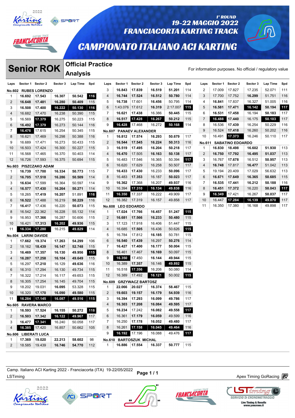

# *AANCLACORTA*

**Senior ROK** 

### 19-22 MAGGIO 2022 **FRANCIACORTA KARTING TRACK**

# **CAMPIONATO ITALIANO ACI KARTING**

### **Official Practice**

1° ROUND

|                |                      | <b>Senior ROK</b>           |          | υπισιαι πταστισε<br><b>Analysis</b> |     |                |                    |                         |          |          |     |                |        |                         | For information purposes. No official / regulatory value |          |     |
|----------------|----------------------|-----------------------------|----------|-------------------------------------|-----|----------------|--------------------|-------------------------|----------|----------|-----|----------------|--------|-------------------------|----------------------------------------------------------|----------|-----|
| Laps           |                      | Sector 1 Sector 2           | Sector 3 | Lap Time                            | Spd | Laps           |                    | Sector 1 Sector 2       | Sector 3 | Lap Time | Spd | Laps           |        | Sector 1 Sector 2       | Sector 3                                                 | Lap Time | Spd |
|                |                      | <b>No.602 RUBES LORENZO</b> |          |                                     |     | 3              | 16.843             | 17.839                  | 16.519   | 51.201   | 114 | 2              | 17.009 | 17.827                  | 17.235                                                   | 52.071   | 111 |
| $\mathbf{1}$   | 16.692               | 17.543                      | 16.307   | 50.542                              | 116 | 4              | 16.744             | 17.524                  | 16.512   | 50.780   | 114 | 3              | 17.700 | 17.752                  | 16.299                                                   | 51.751   | 116 |
| $\overline{2}$ | 16.648               | 17.481                      | 16.280   | 50.409                              | 115 | 5              | 16.738             | 17.601                  | 16.456   | 50.795   | 114 | 4              | 16.841 | 17.837                  | 16.327                                                   | 51.005   | 116 |
| 3              | 16.508               | 17.400                      | 16.222   | 50.130                              | 116 | 6              | 1:43.076   17.612  |                         | 16.319   | 2:17.007 | 115 | 5              | 16.581 | 17.471                  | 16.142                                                   | 50.194   | 117 |
| 4              | 16.682               | 17.470                      | 16.238   | 50.390                              | 115 | $\overline{7}$ | 16.621             | 17.438                  | 16.386   | 50.445   | 115 | 6              | 16.531 | 17.458                  | 16.194                                                   | 50.183   | 117 |
| 5              | 16.569               | 17.379                      | 16.275   | 50.223                              | 115 | 8              | 16.517             | 17.428                  | 16.267   | 50.212   | 115 | $\overline{7}$ | 16.488 | 17.440                  | 16.175                                                   | 50.103   | 117 |
| 6              | 16.492               | 17.379                      | 16.273   | 50.144                              | 116 | 9              | 16.428             | 17.468                  | 16.272   | 50.168   | 114 | 8              | 16.536 | 17.439                  | 16.254                                                   | 50.229   | 116 |
| $\overline{7}$ | 16.476               | 17.615                      | 16.254   | 50.345                              | 115 | <b>No.607</b>  |                    | <b>PANAEV ALEXANDER</b> |          |          |     | 9              | 16.524 | 17.418                  | 16.260                                                   | 50.202   | 116 |
| 8              | 16.621               | 17.469                      | 16.298   | 50.388                              | 116 | $\mathbf{1}$   | 16.812             | 17.574                  | 16.293   | 50.679   | 117 | 10             | 16.491 | 17.373                  | 16.246                                                   | 50.110   | 117 |
| 9              | 16.689               | 17.471                      | 16.273   | 50.433                              | 115 | 2              | 16.544             | 17.545                  | 16.224   | 50.313   | 116 | No.611         |        | <b>SABATINO EDOARDO</b> |                                                          |          |     |
| 10             | 16.503               | 17.424                      | 16.300   | 50.227                              | 115 | 3              | 16.519             | 17.495                  | 16.204   | 50.218   | 117 | $\mathbf{1}$   | 16.830 | 18.498                  | 16.602                                                   | 51.930   | 113 |
| 11             | 16.568               | 17.465                      | 16.370   | 50.403                              | 114 | 4              | 16.470             | 17.505                  | 16.163   | 50.138   | 117 | 2              | 16.750 | 17.792                  | 16.495                                                   | 51.037   | 113 |
| 12             | 16.726               | 17.593                      | 16.375   | 50.694                              | 115 | 5              | 16.483             | 17.546                  | 16.365   | 50.394   | 117 | 3              | 16.767 | 17.678                  | 16.512                                                   | 50.957   | 113 |
|                |                      | No.603 PISZCZAKO ADAM       |          |                                     |     | 6              | 16.620             | 17.629                  | 16.258   | 50.507   | 117 | 4              | 16.748 | 17.817                  | 16.477                                                   | 51.042   | 113 |
| 1              | 16.739               | 17.700                      | 16.334   | 50.773                              | 115 | $\overline{7}$ | 16.433             | 17.430                  | 16.233   | 50.096   | 117 | 5              | 19.194 | 20.409                  | 17.029                                                   | 56.632   | 113 |
| $\overline{2}$ | 16.705               | 17.518                      | 16.286   | 50.509                              | 114 | 8              | 16.483             | 17.353                  | 16.187   | 50.023   | 117 | 6              | 16.671 | 17.649                  | 16.365                                                   | 50.685   | 115 |
| 3              | 16.634               | 17.599                      | 16.364   | 50.597                              | 114 | 9              | 16.362             | 17.368                  | 16.207   | 49.937   | 116 | 7              | 16.535 | 17.441                  | 16.212                                                   | 50.188   | 116 |
| 4              | 16.577               | 17.430                      | 16.264   | 50.271                              | 114 | 10             | 16.394             | 17.310                  | 16.134   | 49.838   | 116 | 8              | 16.451 | 17.372                  | 16.220                                                   | 50.043   | 117 |
| 5              | 18.265               | 17.419                      | 16.207   | 51.891                              | 116 | 11             |                    | 16.350 17.337           | 16.222   | 49.909   | 117 | 9              | 16.349 | 17.421                  | 16.267                                                   | 50.037   | 117 |
| 6              | 16.522               | 17.488                      | 16.219   | 50.229                              | 116 | 12             |                    | 16.382 17.319           | 16.157   | 49.858   | 117 | 10             | 16.447 | 17.284                  | 16.139                                                   | 49.870   | 117 |
| $\overline{7}$ | 16.417               | 17.436                      | 16.220   | 50.073                              | 115 |                | No.608 LEO EDOARDO |                         |          |          |     | 11             | 16.350 | 17.380                  | 16.168                                                   | 49.898   | 117 |
| 8              | 16.542               | 22.362                      | 16.228   | 55.132                              | 114 | $\mathbf{1}$   | 17.024             | 17.766                  | 16.457   | 51.247   | 115 |                |        |                         |                                                          |          |     |
| 9              | 16.953               | 17.366                      | 16.287   | 50.606                              | 115 | 2              | 16.681             | 17.566                  | 16.233   | 50.480   | 115 |                |        |                         |                                                          |          |     |
| 10             | 16.421               | 17.313                      | 16.202   | 49.936                              | 115 | 3              | 17.123             | 17.918                  | 16.406   | 51.447   | 115 |                |        |                         |                                                          |          |     |
| 11             | 16.334               | 17.280                      | 16.215   | 49.829                              | 114 | 4              | 16.685             | 17.505                  | 16.436   | 50.626   | 115 |                |        |                         |                                                          |          |     |
|                | No.604 LARINI DAVIDE |                             |          |                                     |     | 5              | 16.784             | 17.812                  | 16.185   | 50.781   | 115 |                |        |                         |                                                          |          |     |
| 1              | 17.662               | 19.374                      | 17.263   | 54.299                              | 106 | 6              | 16.540             | 17.439                  | 16.297   | 50.276   | 114 |                |        |                         |                                                          |          |     |
| $\overline{2}$ | 18.162               | 18.439                      | 16.147   | 52.748                              | 115 | $\overline{7}$ | 16.427             | 17.400                  | 16.177   | 50.004   | 115 |                |        |                         |                                                          |          |     |
| 3              | 16.469               | 17.357                      | 16.130   | 49.956                              | 115 | 8              | 16.461             | 17.467                  | 16.169   | 50.097   | 115 |                |        |                         |                                                          |          |     |
| 4              | 16.287               | 17.258                      | 16.104   | 49.649                              | 115 | 9              | 16.350             | 17.450                  | 16.144   | 49.944   | 115 |                |        |                         |                                                          |          |     |
| 5              | 16.297               | 17.210                      | 16.129   | 49.636                              | 116 | 10             | 16.389             | 17.357                  | 16.146   | 49.892   | 115 |                |        |                         |                                                          |          |     |
| 6              | 16.310               | 17.294                      | 16.130   | 49.734                              | 115 | 11             | 16.518             | 17.356                  | 16.206   | 50.080   | 114 |                |        |                         |                                                          |          |     |
| $\overline{7}$ | 16.322               | 17.214                      | 16.117   | 49.653                              | 115 | 12             | 16.389             | 17.492                  | 16.121   | 50.002   | 115 |                |        |                         |                                                          |          |     |
| 8              | 16.305               | 17.254                      | 16.145   | 49.704                              | 115 |                |                    | No.609 GRZYWACZ BARTOSZ |          |          |     |                |        |                         |                                                          |          |     |
| 9              | 18.202               | 19.031                      | 16.095   | 53.328                              | 115 | 1              |                    | 22.066 20.027           | 16.374   | 58.467   | 115 |                |        |                         |                                                          |          |     |
| 10             | 16.320 17.170        |                             | 16.090   | 49.580                              | 115 | 2              |                    | 19.603 19.157           | 16.179   | 54.939   | 116 |                |        |                         |                                                          |          |     |
| 11             | 16.284 17.145        |                             | 16.087   | 49.516                              | 115 | 3              | 16.394             | 17.293                  | 16.099   | 49.786   | 117 |                |        |                         |                                                          |          |     |
|                |                      | No.605 RAVERA MARCO         |          |                                     |     | 4              | 16.303             | 17.208                  | 16.084   | 49.595   | 117 |                |        |                         |                                                          |          |     |
| $\mathbf{1}$   | 16.593 17.524        |                             | 16.155   | 50.272                              | 118 | 5              | 16.234             | 17.242                  | 16.082   | 49.558   | 117 |                |        |                         |                                                          |          |     |
| $2 \mid$       | 16.503 17.342        |                             | 16.122   | 49.967                              | 117 | 6              | 16.361             | 17.179                  | 16.059   | 49.599   | 116 |                |        |                         |                                                          |          |     |
| 3              | 16.477 17.341        |                             | 16.240   | 50.058                              | 117 | 7              | 16.250 17.178      |                         | 16.052   | 49.480   | 117 |                |        |                         |                                                          |          |     |
| 4              | 16.385 17.420        |                             | 16.857   | 50.662                              | 105 | 8              | 16.261 17.158      |                         | 16.045   | 49.464   | 116 |                |        |                         |                                                          |          |     |
|                |                      | No.606 LIBERATI LUCA        |          |                                     |     | 9              |                    | 16.192 17.196           | 16.088   | 49.476   | 117 |                |        |                         |                                                          |          |     |
| 1              |                      | 17.369 19.020               | 22.213   | 58.602                              | 98  |                |                    | No.610 BARTOSZUK MICHAL |          |          |     |                |        |                         |                                                          |          |     |
| $\overline{2}$ | 18.585   19.439      |                             | 16.746   | 54.770                              | 112 | $\mathbf{1}$   |                    | 16.886 17.554           | 16.337   | 50.777   | 115 |                |        |                         |                                                          |          |     |
|                |                      |                             |          |                                     |     |                |                    |                         |          |          |     |                |        |                         |                                                          |          |     |

Camp. italiano ACi Narung 2022 - Franciacoria (דורא) וש-22 Page 1 / 1<br>LSTiming Apex Timing GoRacing *a*nd the term of the Marian Baracing and the Marian Apex Timing GoRacing and the t Camp. Italiano ACI Karting 2022 - Franciacorta (ITA) 19-22/05/2022